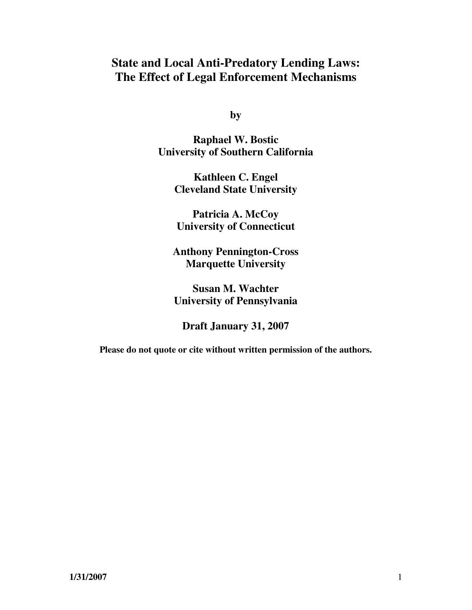# **State and Local Anti-Predatory Lending Laws: The Effect of Legal Enforcement Mechanisms**

**by** 

**Raphael W. Bostic University of Southern California** 

> **Kathleen C. Engel Cleveland State University**

**Patricia A. McCoy University of Connecticut** 

**Anthony Pennington-Cross Marquette University** 

**Susan M. Wachter University of Pennsylvania** 

**Draft January 31, 2007** 

**Please do not quote or cite without written permission of the authors.**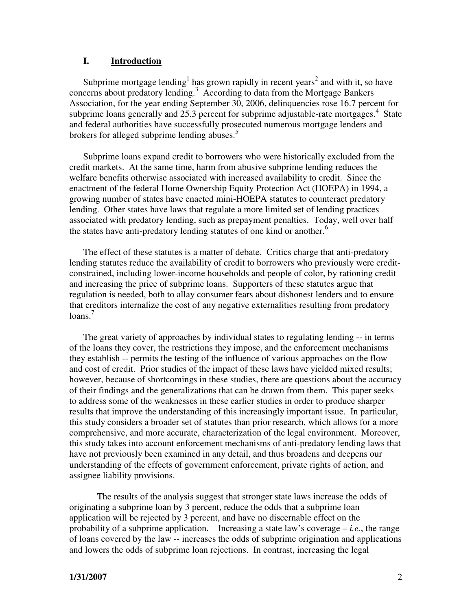### **I. Introduction**

Subprime mortgage lending<sup>1</sup> has grown rapidly in recent years<sup>2</sup> and with it, so have concerns about predatory lending.<sup>3</sup> According to data from the Mortgage Bankers Association, for the year ending September 30, 2006, delinquencies rose 16.7 percent for subprime loans generally and  $25.3$  percent for subprime adjustable-rate mortgages.<sup>4</sup> State and federal authorities have successfully prosecuted numerous mortgage lenders and brokers for alleged subprime lending abuses.<sup>5</sup>

Subprime loans expand credit to borrowers who were historically excluded from the credit markets. At the same time, harm from abusive subprime lending reduces the welfare benefits otherwise associated with increased availability to credit. Since the enactment of the federal Home Ownership Equity Protection Act (HOEPA) in 1994, a growing number of states have enacted mini-HOEPA statutes to counteract predatory lending. Other states have laws that regulate a more limited set of lending practices associated with predatory lending, such as prepayment penalties. Today, well over half the states have anti-predatory lending statutes of one kind or another.<sup>6</sup>

The effect of these statutes is a matter of debate. Critics charge that anti-predatory lending statutes reduce the availability of credit to borrowers who previously were creditconstrained, including lower-income households and people of color, by rationing credit and increasing the price of subprime loans. Supporters of these statutes argue that regulation is needed, both to allay consumer fears about dishonest lenders and to ensure that creditors internalize the cost of any negative externalities resulting from predatory  $\frac{7}{2}$ 

The great variety of approaches by individual states to regulating lending -- in terms of the loans they cover, the restrictions they impose, and the enforcement mechanisms they establish -- permits the testing of the influence of various approaches on the flow and cost of credit. Prior studies of the impact of these laws have yielded mixed results; however, because of shortcomings in these studies, there are questions about the accuracy of their findings and the generalizations that can be drawn from them. This paper seeks to address some of the weaknesses in these earlier studies in order to produce sharper results that improve the understanding of this increasingly important issue. In particular, this study considers a broader set of statutes than prior research, which allows for a more comprehensive, and more accurate, characterization of the legal environment. Moreover, this study takes into account enforcement mechanisms of anti-predatory lending laws that have not previously been examined in any detail, and thus broadens and deepens our understanding of the effects of government enforcement, private rights of action, and assignee liability provisions.

 The results of the analysis suggest that stronger state laws increase the odds of originating a subprime loan by 3 percent, reduce the odds that a subprime loan application will be rejected by 3 percent, and have no discernable effect on the probability of a subprime application. Increasing a state law's coverage – *i.e.*, the range of loans covered by the law -- increases the odds of subprime origination and applications and lowers the odds of subprime loan rejections. In contrast, increasing the legal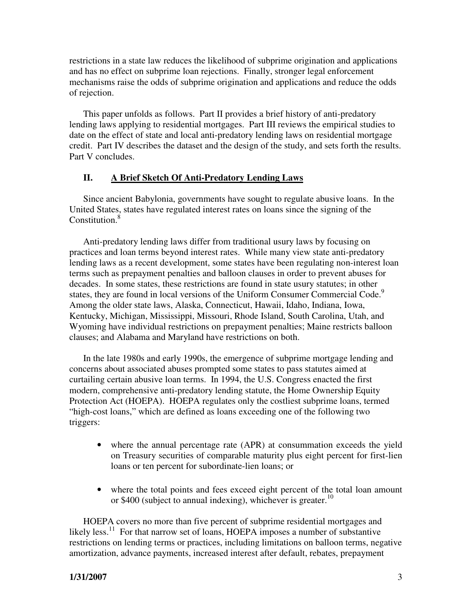restrictions in a state law reduces the likelihood of subprime origination and applications and has no effect on subprime loan rejections. Finally, stronger legal enforcement mechanisms raise the odds of subprime origination and applications and reduce the odds of rejection.

This paper unfolds as follows. Part II provides a brief history of anti-predatory lending laws applying to residential mortgages. Part III reviews the empirical studies to date on the effect of state and local anti-predatory lending laws on residential mortgage credit. Part IV describes the dataset and the design of the study, and sets forth the results. Part V concludes.

# **II. A Brief Sketch Of Anti-Predatory Lending Laws**

Since ancient Babylonia, governments have sought to regulate abusive loans. In the United States, states have regulated interest rates on loans since the signing of the Constitution.<sup>8</sup>

Anti-predatory lending laws differ from traditional usury laws by focusing on practices and loan terms beyond interest rates. While many view state anti-predatory lending laws as a recent development, some states have been regulating non-interest loan terms such as prepayment penalties and balloon clauses in order to prevent abuses for decades. In some states, these restrictions are found in state usury statutes; in other states, they are found in local versions of the Uniform Consumer Commercial Code.<sup>9</sup> Among the older state laws, Alaska, Connecticut, Hawaii, Idaho, Indiana, Iowa, Kentucky, Michigan, Mississippi, Missouri, Rhode Island, South Carolina, Utah, and Wyoming have individual restrictions on prepayment penalties; Maine restricts balloon clauses; and Alabama and Maryland have restrictions on both.

In the late 1980s and early 1990s, the emergence of subprime mortgage lending and concerns about associated abuses prompted some states to pass statutes aimed at curtailing certain abusive loan terms. In 1994, the U.S. Congress enacted the first modern, comprehensive anti-predatory lending statute, the Home Ownership Equity Protection Act (HOEPA). HOEPA regulates only the costliest subprime loans, termed "high-cost loans," which are defined as loans exceeding one of the following two triggers:

- where the annual percentage rate (APR) at consummation exceeds the yield on Treasury securities of comparable maturity plus eight percent for first-lien loans or ten percent for subordinate-lien loans; or
- where the total points and fees exceed eight percent of the total loan amount or \$400 (subject to annual indexing), whichever is greater.<sup>10</sup>

HOEPA covers no more than five percent of subprime residential mortgages and likely less.<sup>11</sup> For that narrow set of loans, HOEPA imposes a number of substantive restrictions on lending terms or practices, including limitations on balloon terms, negative amortization, advance payments, increased interest after default, rebates, prepayment

# **1/31/2007** 3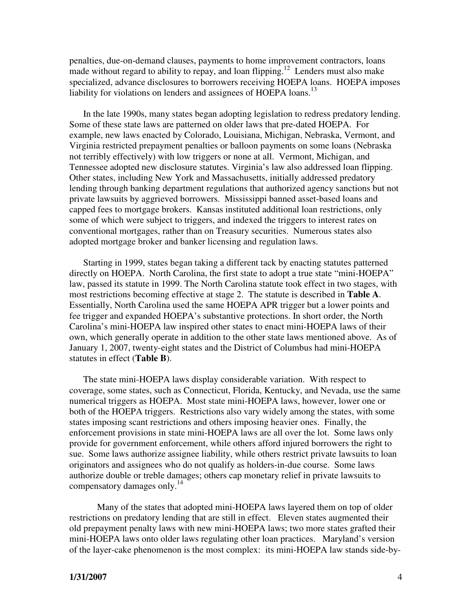penalties, due-on-demand clauses, payments to home improvement contractors, loans made without regard to ability to repay, and loan flipping.<sup>12</sup> Lenders must also make specialized, advance disclosures to borrowers receiving HOEPA loans. HOEPA imposes liability for violations on lenders and assignees of HOEPA loans.<sup>13</sup>

In the late 1990s, many states began adopting legislation to redress predatory lending. Some of these state laws are patterned on older laws that pre-dated HOEPA. For example, new laws enacted by Colorado, Louisiana, Michigan, Nebraska, Vermont, and Virginia restricted prepayment penalties or balloon payments on some loans (Nebraska not terribly effectively) with low triggers or none at all. Vermont, Michigan, and Tennessee adopted new disclosure statutes. Virginia's law also addressed loan flipping. Other states, including New York and Massachusetts, initially addressed predatory lending through banking department regulations that authorized agency sanctions but not private lawsuits by aggrieved borrowers. Mississippi banned asset-based loans and capped fees to mortgage brokers. Kansas instituted additional loan restrictions, only some of which were subject to triggers, and indexed the triggers to interest rates on conventional mortgages, rather than on Treasury securities. Numerous states also adopted mortgage broker and banker licensing and regulation laws.

Starting in 1999, states began taking a different tack by enacting statutes patterned directly on HOEPA. North Carolina, the first state to adopt a true state "mini-HOEPA" law, passed its statute in 1999. The North Carolina statute took effect in two stages, with most restrictions becoming effective at stage 2. The statute is described in **Table A**. Essentially, North Carolina used the same HOEPA APR trigger but a lower points and fee trigger and expanded HOEPA's substantive protections. In short order, the North Carolina's mini-HOEPA law inspired other states to enact mini-HOEPA laws of their own, which generally operate in addition to the other state laws mentioned above. As of January 1, 2007, twenty-eight states and the District of Columbus had mini-HOEPA statutes in effect (**Table B**).

The state mini-HOEPA laws display considerable variation. With respect to coverage, some states, such as Connecticut, Florida, Kentucky, and Nevada, use the same numerical triggers as HOEPA. Most state mini-HOEPA laws, however, lower one or both of the HOEPA triggers. Restrictions also vary widely among the states, with some states imposing scant restrictions and others imposing heavier ones. Finally, the enforcement provisions in state mini-HOEPA laws are all over the lot. Some laws only provide for government enforcement, while others afford injured borrowers the right to sue. Some laws authorize assignee liability, while others restrict private lawsuits to loan originators and assignees who do not qualify as holders-in-due course. Some laws authorize double or treble damages; others cap monetary relief in private lawsuits to compensatory damages only.<sup>14</sup>

 Many of the states that adopted mini-HOEPA laws layered them on top of older restrictions on predatory lending that are still in effect. Eleven states augmented their old prepayment penalty laws with new mini-HOEPA laws; two more states grafted their mini-HOEPA laws onto older laws regulating other loan practices. Maryland's version of the layer-cake phenomenon is the most complex: its mini-HOEPA law stands side-by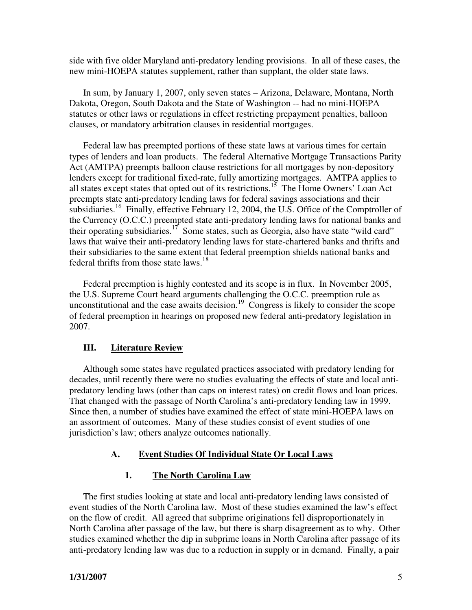side with five older Maryland anti-predatory lending provisions. In all of these cases, the new mini-HOEPA statutes supplement, rather than supplant, the older state laws.

In sum, by January 1, 2007, only seven states – Arizona, Delaware, Montana, North Dakota, Oregon, South Dakota and the State of Washington -- had no mini-HOEPA statutes or other laws or regulations in effect restricting prepayment penalties, balloon clauses, or mandatory arbitration clauses in residential mortgages.

Federal law has preempted portions of these state laws at various times for certain types of lenders and loan products. The federal Alternative Mortgage Transactions Parity Act (AMTPA) preempts balloon clause restrictions for all mortgages by non-depository lenders except for traditional fixed-rate, fully amortizing mortgages. AMTPA applies to all states except states that opted out of its restrictions.<sup>15</sup> The Home Owners' Loan Act preempts state anti-predatory lending laws for federal savings associations and their subsidiaries.<sup>16</sup> Finally, effective February 12, 2004, the U.S. Office of the Comptroller of the Currency (O.C.C.) preempted state anti-predatory lending laws for national banks and their operating subsidiaries.<sup>17</sup> Some states, such as Georgia, also have state "wild card" laws that waive their anti-predatory lending laws for state-chartered banks and thrifts and their subsidiaries to the same extent that federal preemption shields national banks and federal thrifts from those state laws.<sup>18</sup>

Federal preemption is highly contested and its scope is in flux. In November 2005, the U.S. Supreme Court heard arguments challenging the O.C.C. preemption rule as unconstitutional and the case awaits decision.<sup>19</sup> Congress is likely to consider the scope of federal preemption in hearings on proposed new federal anti-predatory legislation in 2007.

### **III. Literature Review**

Although some states have regulated practices associated with predatory lending for decades, until recently there were no studies evaluating the effects of state and local antipredatory lending laws (other than caps on interest rates) on credit flows and loan prices. That changed with the passage of North Carolina's anti-predatory lending law in 1999. Since then, a number of studies have examined the effect of state mini-HOEPA laws on an assortment of outcomes. Many of these studies consist of event studies of one jurisdiction's law; others analyze outcomes nationally.

# **A. Event Studies Of Individual State Or Local Laws**

### **1. The North Carolina Law**

The first studies looking at state and local anti-predatory lending laws consisted of event studies of the North Carolina law. Most of these studies examined the law's effect on the flow of credit. All agreed that subprime originations fell disproportionately in North Carolina after passage of the law, but there is sharp disagreement as to why. Other studies examined whether the dip in subprime loans in North Carolina after passage of its anti-predatory lending law was due to a reduction in supply or in demand. Finally, a pair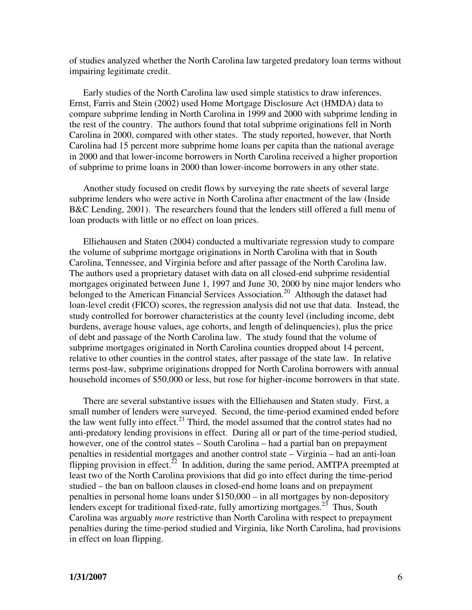of studies analyzed whether the North Carolina law targeted predatory loan terms without impairing legitimate credit.

Early studies of the North Carolina law used simple statistics to draw inferences. Ernst, Farris and Stein (2002) used Home Mortgage Disclosure Act (HMDA) data to compare subprime lending in North Carolina in 1999 and 2000 with subprime lending in the rest of the country. The authors found that total subprime originations fell in North Carolina in 2000, compared with other states. The study reported, however, that North Carolina had 15 percent more subprime home loans per capita than the national average in 2000 and that lower-income borrowers in North Carolina received a higher proportion of subprime to prime loans in 2000 than lower-income borrowers in any other state.

Another study focused on credit flows by surveying the rate sheets of several large subprime lenders who were active in North Carolina after enactment of the law (Inside B&C Lending, 2001). The researchers found that the lenders still offered a full menu of loan products with little or no effect on loan prices.

Elliehausen and Staten (2004) conducted a multivariate regression study to compare the volume of subprime mortgage originations in North Carolina with that in South Carolina, Tennessee, and Virginia before and after passage of the North Carolina law. The authors used a proprietary dataset with data on all closed-end subprime residential mortgages originated between June 1, 1997 and June 30, 2000 by nine major lenders who belonged to the American Financial Services Association.<sup>20</sup> Although the dataset had loan-level credit (FICO) scores, the regression analysis did not use that data. Instead, the study controlled for borrower characteristics at the county level (including income, debt burdens, average house values, age cohorts, and length of delinquencies), plus the price of debt and passage of the North Carolina law. The study found that the volume of subprime mortgages originated in North Carolina counties dropped about 14 percent, relative to other counties in the control states, after passage of the state law. In relative terms post-law, subprime originations dropped for North Carolina borrowers with annual household incomes of \$50,000 or less, but rose for higher-income borrowers in that state.

There are several substantive issues with the Elliehausen and Staten study. First, a small number of lenders were surveyed. Second, the time-period examined ended before the law went fully into effect.<sup>21</sup> Third, the model assumed that the control states had no anti-predatory lending provisions in effect. During all or part of the time-period studied, however, one of the control states – South Carolina – had a partial ban on prepayment penalties in residential mortgages and another control state – Virginia – had an anti-loan flipping provision in effect.<sup>22</sup> In addition, during the same period, AMTPA preempted at least two of the North Carolina provisions that did go into effect during the time-period studied – the ban on balloon clauses in closed-end home loans and on prepayment penalties in personal home loans under \$150,000 – in all mortgages by non-depository lenders except for traditional fixed-rate, fully amortizing mortgages.<sup>23</sup> Thus, South Carolina was arguably *more* restrictive than North Carolina with respect to prepayment penalties during the time-period studied and Virginia, like North Carolina, had provisions in effect on loan flipping.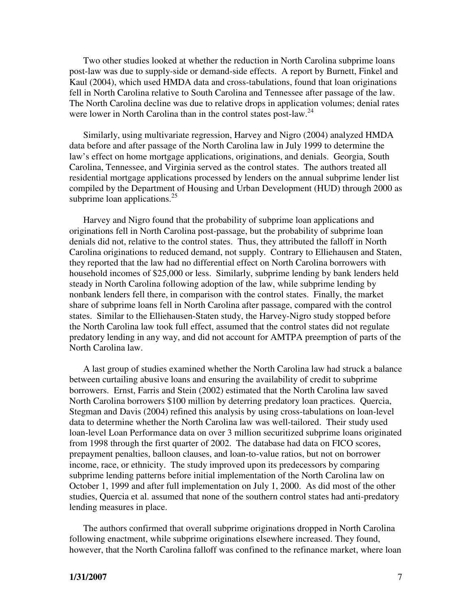Two other studies looked at whether the reduction in North Carolina subprime loans post-law was due to supply-side or demand-side effects. A report by Burnett, Finkel and Kaul (2004), which used HMDA data and cross-tabulations, found that loan originations fell in North Carolina relative to South Carolina and Tennessee after passage of the law. The North Carolina decline was due to relative drops in application volumes; denial rates were lower in North Carolina than in the control states post-law.<sup>24</sup>

Similarly, using multivariate regression, Harvey and Nigro (2004) analyzed HMDA data before and after passage of the North Carolina law in July 1999 to determine the law's effect on home mortgage applications, originations, and denials. Georgia, South Carolina, Tennessee, and Virginia served as the control states. The authors treated all residential mortgage applications processed by lenders on the annual subprime lender list compiled by the Department of Housing and Urban Development (HUD) through 2000 as subprime loan applications. $25$ 

Harvey and Nigro found that the probability of subprime loan applications and originations fell in North Carolina post-passage, but the probability of subprime loan denials did not, relative to the control states. Thus, they attributed the falloff in North Carolina originations to reduced demand, not supply. Contrary to Elliehausen and Staten, they reported that the law had no differential effect on North Carolina borrowers with household incomes of \$25,000 or less. Similarly, subprime lending by bank lenders held steady in North Carolina following adoption of the law, while subprime lending by nonbank lenders fell there, in comparison with the control states. Finally, the market share of subprime loans fell in North Carolina after passage, compared with the control states. Similar to the Elliehausen-Staten study, the Harvey-Nigro study stopped before the North Carolina law took full effect, assumed that the control states did not regulate predatory lending in any way, and did not account for AMTPA preemption of parts of the North Carolina law.

A last group of studies examined whether the North Carolina law had struck a balance between curtailing abusive loans and ensuring the availability of credit to subprime borrowers. Ernst, Farris and Stein (2002) estimated that the North Carolina law saved North Carolina borrowers \$100 million by deterring predatory loan practices. Quercia, Stegman and Davis (2004) refined this analysis by using cross-tabulations on loan-level data to determine whether the North Carolina law was well-tailored. Their study used loan-level Loan Performance data on over 3 million securitized subprime loans originated from 1998 through the first quarter of 2002. The database had data on FICO scores, prepayment penalties, balloon clauses, and loan-to-value ratios, but not on borrower income, race, or ethnicity. The study improved upon its predecessors by comparing subprime lending patterns before initial implementation of the North Carolina law on October 1, 1999 and after full implementation on July 1, 2000. As did most of the other studies, Quercia et al. assumed that none of the southern control states had anti-predatory lending measures in place.

The authors confirmed that overall subprime originations dropped in North Carolina following enactment, while subprime originations elsewhere increased. They found, however, that the North Carolina falloff was confined to the refinance market, where loan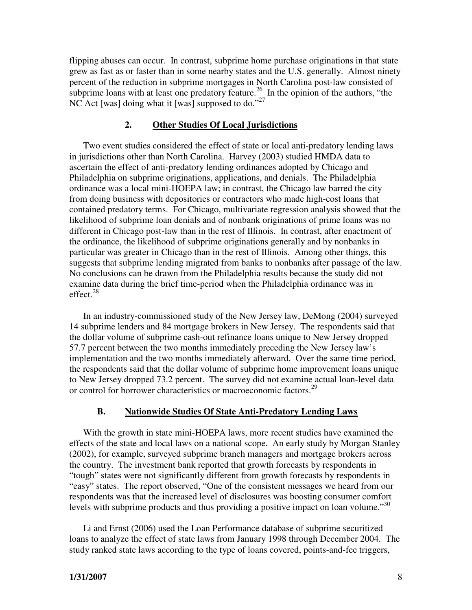flipping abuses can occur. In contrast, subprime home purchase originations in that state grew as fast as or faster than in some nearby states and the U.S. generally. Almost ninety percent of the reduction in subprime mortgages in North Carolina post-law consisted of subprime loans with at least one predatory feature.<sup>26</sup> In the opinion of the authors, "the NC Act [was] doing what it [was] supposed to do."<sup>27</sup>

#### **2. Other Studies Of Local Jurisdictions**

Two event studies considered the effect of state or local anti-predatory lending laws in jurisdictions other than North Carolina. Harvey (2003) studied HMDA data to ascertain the effect of anti-predatory lending ordinances adopted by Chicago and Philadelphia on subprime originations, applications, and denials. The Philadelphia ordinance was a local mini-HOEPA law; in contrast, the Chicago law barred the city from doing business with depositories or contractors who made high-cost loans that contained predatory terms. For Chicago, multivariate regression analysis showed that the likelihood of subprime loan denials and of nonbank originations of prime loans was no different in Chicago post-law than in the rest of Illinois. In contrast, after enactment of the ordinance, the likelihood of subprime originations generally and by nonbanks in particular was greater in Chicago than in the rest of Illinois. Among other things, this suggests that subprime lending migrated from banks to nonbanks after passage of the law. No conclusions can be drawn from the Philadelphia results because the study did not examine data during the brief time-period when the Philadelphia ordinance was in effect. $28$ 

In an industry-commissioned study of the New Jersey law, DeMong (2004) surveyed 14 subprime lenders and 84 mortgage brokers in New Jersey. The respondents said that the dollar volume of subprime cash-out refinance loans unique to New Jersey dropped 57.7 percent between the two months immediately preceding the New Jersey law's implementation and the two months immediately afterward. Over the same time period, the respondents said that the dollar volume of subprime home improvement loans unique to New Jersey dropped 73.2 percent. The survey did not examine actual loan-level data or control for borrower characteristics or macroeconomic factors.<sup>29</sup>

#### **B. Nationwide Studies Of State Anti-Predatory Lending Laws**

With the growth in state mini-HOEPA laws, more recent studies have examined the effects of the state and local laws on a national scope. An early study by Morgan Stanley (2002), for example, surveyed subprime branch managers and mortgage brokers across the country. The investment bank reported that growth forecasts by respondents in "tough" states were not significantly different from growth forecasts by respondents in "easy" states. The report observed, "One of the consistent messages we heard from our respondents was that the increased level of disclosures was boosting consumer comfort levels with subprime products and thus providing a positive impact on loan volume."<sup>30</sup>

Li and Ernst (2006) used the Loan Performance database of subprime securitized loans to analyze the effect of state laws from January 1998 through December 2004. The study ranked state laws according to the type of loans covered, points-and-fee triggers,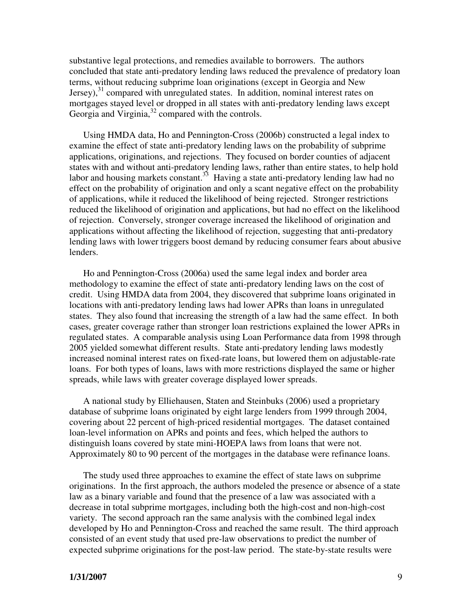substantive legal protections, and remedies available to borrowers. The authors concluded that state anti-predatory lending laws reduced the prevalence of predatory loan terms, without reducing subprime loan originations (except in Georgia and New Jersey), $31$  compared with unregulated states. In addition, nominal interest rates on mortgages stayed level or dropped in all states with anti-predatory lending laws except Georgia and Virginia,<sup>32</sup> compared with the controls.

Using HMDA data, Ho and Pennington-Cross (2006b) constructed a legal index to examine the effect of state anti-predatory lending laws on the probability of subprime applications, originations, and rejections. They focused on border counties of adjacent states with and without anti-predatory lending laws, rather than entire states, to help hold labor and housing markets constant.<sup>33</sup> Having a state anti-predatory lending law had no effect on the probability of origination and only a scant negative effect on the probability of applications, while it reduced the likelihood of being rejected. Stronger restrictions reduced the likelihood of origination and applications, but had no effect on the likelihood of rejection. Conversely, stronger coverage increased the likelihood of origination and applications without affecting the likelihood of rejection, suggesting that anti-predatory lending laws with lower triggers boost demand by reducing consumer fears about abusive lenders.

Ho and Pennington-Cross (2006a) used the same legal index and border area methodology to examine the effect of state anti-predatory lending laws on the cost of credit. Using HMDA data from 2004, they discovered that subprime loans originated in locations with anti-predatory lending laws had lower APRs than loans in unregulated states. They also found that increasing the strength of a law had the same effect. In both cases, greater coverage rather than stronger loan restrictions explained the lower APRs in regulated states. A comparable analysis using Loan Performance data from 1998 through 2005 yielded somewhat different results. State anti-predatory lending laws modestly increased nominal interest rates on fixed-rate loans, but lowered them on adjustable-rate loans. For both types of loans, laws with more restrictions displayed the same or higher spreads, while laws with greater coverage displayed lower spreads.

A national study by Elliehausen, Staten and Steinbuks (2006) used a proprietary database of subprime loans originated by eight large lenders from 1999 through 2004, covering about 22 percent of high-priced residential mortgages. The dataset contained loan-level information on APRs and points and fees, which helped the authors to distinguish loans covered by state mini-HOEPA laws from loans that were not. Approximately 80 to 90 percent of the mortgages in the database were refinance loans.

The study used three approaches to examine the effect of state laws on subprime originations. In the first approach, the authors modeled the presence or absence of a state law as a binary variable and found that the presence of a law was associated with a decrease in total subprime mortgages, including both the high-cost and non-high-cost variety. The second approach ran the same analysis with the combined legal index developed by Ho and Pennington-Cross and reached the same result. The third approach consisted of an event study that used pre-law observations to predict the number of expected subprime originations for the post-law period. The state-by-state results were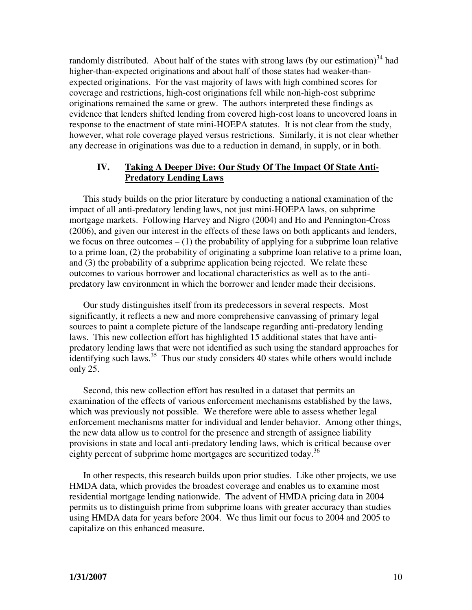randomly distributed. About half of the states with strong laws (by our estimation)<sup>34</sup> had higher-than-expected originations and about half of those states had weaker-thanexpected originations. For the vast majority of laws with high combined scores for coverage and restrictions, high-cost originations fell while non-high-cost subprime originations remained the same or grew. The authors interpreted these findings as evidence that lenders shifted lending from covered high-cost loans to uncovered loans in response to the enactment of state mini-HOEPA statutes. It is not clear from the study, however, what role coverage played versus restrictions. Similarly, it is not clear whether any decrease in originations was due to a reduction in demand, in supply, or in both.

# **IV. Taking A Deeper Dive: Our Study Of The Impact Of State Anti- Predatory Lending Laws**

This study builds on the prior literature by conducting a national examination of the impact of all anti-predatory lending laws, not just mini-HOEPA laws, on subprime mortgage markets. Following Harvey and Nigro (2004) and Ho and Pennington-Cross (2006), and given our interest in the effects of these laws on both applicants and lenders, we focus on three outcomes  $- (1)$  the probability of applying for a subprime loan relative to a prime loan, (2) the probability of originating a subprime loan relative to a prime loan, and (3) the probability of a subprime application being rejected. We relate these outcomes to various borrower and locational characteristics as well as to the antipredatory law environment in which the borrower and lender made their decisions.

Our study distinguishes itself from its predecessors in several respects. Most significantly, it reflects a new and more comprehensive canvassing of primary legal sources to paint a complete picture of the landscape regarding anti-predatory lending laws. This new collection effort has highlighted 15 additional states that have antipredatory lending laws that were not identified as such using the standard approaches for identifying such laws.<sup>35</sup> Thus our study considers 40 states while others would include only 25.

Second, this new collection effort has resulted in a dataset that permits an examination of the effects of various enforcement mechanisms established by the laws, which was previously not possible. We therefore were able to assess whether legal enforcement mechanisms matter for individual and lender behavior. Among other things, the new data allow us to control for the presence and strength of assignee liability provisions in state and local anti-predatory lending laws, which is critical because over eighty percent of subprime home mortgages are securitized today.<sup>36</sup>

In other respects, this research builds upon prior studies. Like other projects, we use HMDA data, which provides the broadest coverage and enables us to examine most residential mortgage lending nationwide. The advent of HMDA pricing data in 2004 permits us to distinguish prime from subprime loans with greater accuracy than studies using HMDA data for years before 2004. We thus limit our focus to 2004 and 2005 to capitalize on this enhanced measure.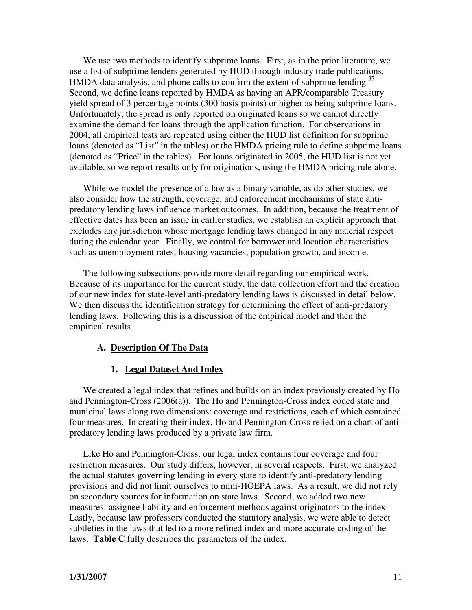We use two methods to identify subprime loans. First, as in the prior literature, we use a list of subprime lenders generated by HUD through industry trade publications, HMDA data analysis, and phone calls to confirm the extent of subprime lending.<sup>37</sup> Second, we define loans reported by HMDA as having an APR/comparable Treasury yield spread of 3 percentage points (300 basis points) or higher as being subprime loans. Unfortunately, the spread is only reported on originated loans so we cannot directly examine the demand for loans through the application function. For observations in 2004, all empirical tests are repeated using either the HUD list definition for subprime loans (denoted as "List" in the tables) or the HMDA pricing rule to define subprime loans (denoted as "Price" in the tables). For loans originated in 2005, the HUD list is not yet available, so we report results only for originations, using the HMDA pricing rule alone.

While we model the presence of a law as a binary variable, as do other studies, we also consider how the strength, coverage, and enforcement mechanisms of state antipredatory lending laws influence market outcomes. In addition, because the treatment of effective dates has been an issue in earlier studies, we establish an explicit approach that excludes any jurisdiction whose mortgage lending laws changed in any material respect during the calendar year. Finally, we control for borrower and location characteristics such as unemployment rates, housing vacancies, population growth, and income.

The following subsections provide more detail regarding our empirical work. Because of its importance for the current study, the data collection effort and the creation of our new index for state-level anti-predatory lending laws is discussed in detail below. We then discuss the identification strategy for determining the effect of anti-predatory lending laws. Following this is a discussion of the empirical model and then the empirical results.

### **A. Description Of The Data**

# **1. Legal Dataset And Index**

We created a legal index that refines and builds on an index previously created by Ho and Pennington-Cross (2006(a)). The Ho and Pennington-Cross index coded state and municipal laws along two dimensions: coverage and restrictions, each of which contained four measures. In creating their index, Ho and Pennington-Cross relied on a chart of antipredatory lending laws produced by a private law firm.

Like Ho and Pennington-Cross, our legal index contains four coverage and four restriction measures. Our study differs, however, in several respects. First, we analyzed the actual statutes governing lending in every state to identify anti-predatory lending provisions and did not limit ourselves to mini-HOEPA laws. As a result, we did not rely on secondary sources for information on state laws. Second, we added two new measures: assignee liability and enforcement methods against originators to the index. Lastly, because law professors conducted the statutory analysis, we were able to detect subtleties in the laws that led to a more refined index and more accurate coding of the laws. **Table C** fully describes the parameters of the index.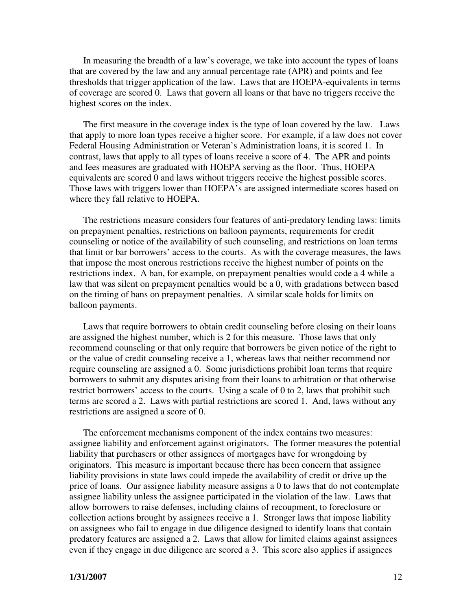In measuring the breadth of a law's coverage, we take into account the types of loans that are covered by the law and any annual percentage rate (APR) and points and fee thresholds that trigger application of the law. Laws that are HOEPA-equivalents in terms of coverage are scored 0. Laws that govern all loans or that have no triggers receive the highest scores on the index.

The first measure in the coverage index is the type of loan covered by the law. Laws that apply to more loan types receive a higher score. For example, if a law does not cover Federal Housing Administration or Veteran's Administration loans, it is scored 1. In contrast, laws that apply to all types of loans receive a score of 4. The APR and points and fees measures are graduated with HOEPA serving as the floor. Thus, HOEPA equivalents are scored 0 and laws without triggers receive the highest possible scores. Those laws with triggers lower than HOEPA's are assigned intermediate scores based on where they fall relative to HOEPA.

The restrictions measure considers four features of anti-predatory lending laws: limits on prepayment penalties, restrictions on balloon payments, requirements for credit counseling or notice of the availability of such counseling, and restrictions on loan terms that limit or bar borrowers' access to the courts. As with the coverage measures, the laws that impose the most onerous restrictions receive the highest number of points on the restrictions index. A ban, for example, on prepayment penalties would code a 4 while a law that was silent on prepayment penalties would be a 0, with gradations between based on the timing of bans on prepayment penalties. A similar scale holds for limits on balloon payments.

Laws that require borrowers to obtain credit counseling before closing on their loans are assigned the highest number, which is 2 for this measure. Those laws that only recommend counseling or that only require that borrowers be given notice of the right to or the value of credit counseling receive a 1, whereas laws that neither recommend nor require counseling are assigned a 0. Some jurisdictions prohibit loan terms that require borrowers to submit any disputes arising from their loans to arbitration or that otherwise restrict borrowers' access to the courts. Using a scale of 0 to 2, laws that prohibit such terms are scored a 2. Laws with partial restrictions are scored 1. And, laws without any restrictions are assigned a score of 0.

The enforcement mechanisms component of the index contains two measures: assignee liability and enforcement against originators. The former measures the potential liability that purchasers or other assignees of mortgages have for wrongdoing by originators. This measure is important because there has been concern that assignee liability provisions in state laws could impede the availability of credit or drive up the price of loans. Our assignee liability measure assigns a 0 to laws that do not contemplate assignee liability unless the assignee participated in the violation of the law. Laws that allow borrowers to raise defenses, including claims of recoupment, to foreclosure or collection actions brought by assignees receive a 1. Stronger laws that impose liability on assignees who fail to engage in due diligence designed to identify loans that contain predatory features are assigned a 2. Laws that allow for limited claims against assignees even if they engage in due diligence are scored a 3. This score also applies if assignees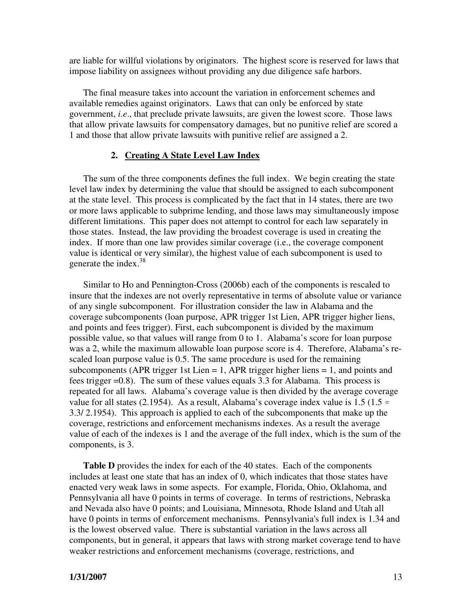are liable for willful violations by originators. The highest score is reserved for laws that impose liability on assignees without providing any due diligence safe harbors.

The final measure takes into account the variation in enforcement schemes and available remedies against originators. Laws that can only be enforced by state government, *i.e*., that preclude private lawsuits, are given the lowest score. Those laws that allow private lawsuits for compensatory damages, but no punitive relief are scored a 1 and those that allow private lawsuits with punitive relief are assigned a 2.

#### **2. Creating A State Level Law Index**

The sum of the three components defines the full index. We begin creating the state level law index by determining the value that should be assigned to each subcomponent at the state level. This process is complicated by the fact that in 14 states, there are two or more laws applicable to subprime lending, and those laws may simultaneously impose different limitations. This paper does not attempt to control for each law separately in those states. Instead, the law providing the broadest coverage is used in creating the index. If more than one law provides similar coverage (i.e., the coverage component value is identical or very similar), the highest value of each subcomponent is used to generate the index.<sup>38</sup>

Similar to Ho and Pennington-Cross (2006b) each of the components is rescaled to insure that the indexes are not overly representative in terms of absolute value or variance of any single subcomponent. For illustration consider the law in Alabama and the coverage subcomponents (loan purpose, APR trigger 1st Lien, APR trigger higher liens, and points and fees trigger). First, each subcomponent is divided by the maximum possible value, so that values will range from 0 to 1. Alabama's score for loan purpose was a 2, while the maximum allowable loan purpose score is 4. Therefore, Alabama's rescaled loan purpose value is 0.5. The same procedure is used for the remaining subcomponents (APR trigger 1st Lien  $= 1$ , APR trigger higher liens  $= 1$ , and points and fees trigger =0.8). The sum of these values equals 3.3 for Alabama. This process is repeated for all laws. Alabama's coverage value is then divided by the average coverage value for all states (2.1954). As a result, Alabama's coverage index value is 1.5 (1.5  $\approx$ 3.3/ 2.1954). This approach is applied to each of the subcomponents that make up the coverage, restrictions and enforcement mechanisms indexes. As a result the average value of each of the indexes is 1 and the average of the full index, which is the sum of the components, is 3.

**Table D** provides the index for each of the 40 states. Each of the components includes at least one state that has an index of 0, which indicates that those states have enacted very weak laws in some aspects. For example, Florida, Ohio, Oklahoma, and Pennsylvania all have 0 points in terms of coverage. In terms of restrictions, Nebraska and Nevada also have 0 points; and Louisiana, Minnesota, Rhode Island and Utah all have 0 points in terms of enforcement mechanisms. Pennsylvania's full index is 1.34 and is the lowest observed value. There is substantial variation in the laws across all components, but in general, it appears that laws with strong market coverage tend to have weaker restrictions and enforcement mechanisms (coverage, restrictions, and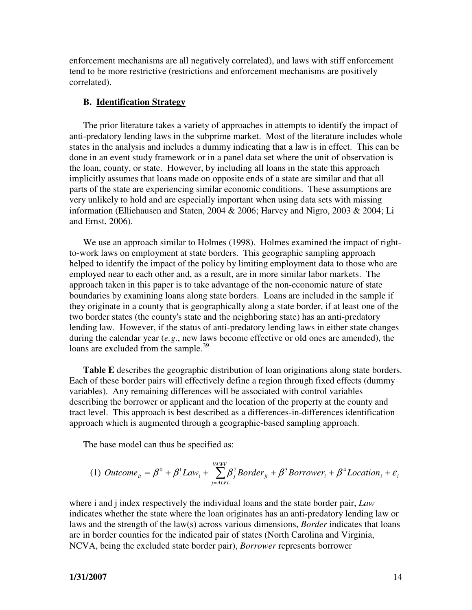enforcement mechanisms are all negatively correlated), and laws with stiff enforcement tend to be more restrictive (restrictions and enforcement mechanisms are positively correlated).

#### **B. Identification Strategy**

The prior literature takes a variety of approaches in attempts to identify the impact of anti-predatory lending laws in the subprime market. Most of the literature includes whole states in the analysis and includes a dummy indicating that a law is in effect. This can be done in an event study framework or in a panel data set where the unit of observation is the loan, county, or state. However, by including all loans in the state this approach implicitly assumes that loans made on opposite ends of a state are similar and that all parts of the state are experiencing similar economic conditions. These assumptions are very unlikely to hold and are especially important when using data sets with missing information (Elliehausen and Staten, 2004 & 2006; Harvey and Nigro, 2003 & 2004; Li and Ernst, 2006).

We use an approach similar to Holmes (1998). Holmes examined the impact of rightto-work laws on employment at state borders. This geographic sampling approach helped to identify the impact of the policy by limiting employment data to those who are employed near to each other and, as a result, are in more similar labor markets. The approach taken in this paper is to take advantage of the non-economic nature of state boundaries by examining loans along state borders. Loans are included in the sample if they originate in a county that is geographically along a state border, if at least one of the two border states (the county's state and the neighboring state) has an anti-predatory lending law. However, if the status of anti-predatory lending laws in either state changes during the calendar year (*e.g*., new laws become effective or old ones are amended), the loans are excluded from the sample.<sup>39</sup>

**Table E** describes the geographic distribution of loan originations along state borders. Each of these border pairs will effectively define a region through fixed effects (dummy variables). Any remaining differences will be associated with control variables describing the borrower or applicant and the location of the property at the county and tract level. This approach is best described as a differences-in-differences identification approach which is augmented through a geographic-based sampling approach.

The base model can thus be specified as:

(1) 
$$
Outcome_{it} = \beta^0 + \beta^1 Law_i + \sum_{j=ALFL}^{VAWV} \beta_j^2 Border_{ji} + \beta^3 Borrower_i + \beta^4 Location_i + \varepsilon_i
$$

where i and j index respectively the individual loans and the state border pair, *Law* indicates whether the state where the loan originates has an anti-predatory lending law or laws and the strength of the law(s) across various dimensions, *Border* indicates that loans are in border counties for the indicated pair of states (North Carolina and Virginia, NCVA, being the excluded state border pair), *Borrower* represents borrower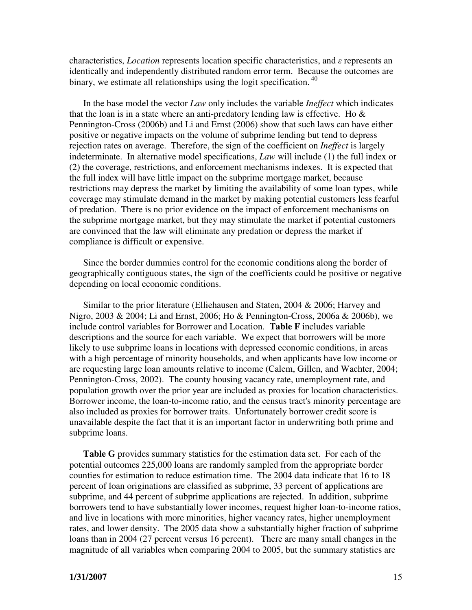characteristics, *Location* represents location specific characteristics, and ε represents an identically and independently distributed random error term. Because the outcomes are binary, we estimate all relationships using the logit specification.<sup>40</sup>

In the base model the vector *Law* only includes the variable *Ineffect* which indicates that the loan is in a state where an anti-predatory lending law is effective. Ho  $\&$ Pennington-Cross (2006b) and Li and Ernst (2006) show that such laws can have either positive or negative impacts on the volume of subprime lending but tend to depress rejection rates on average. Therefore, the sign of the coefficient on *Ineffect* is largely indeterminate. In alternative model specifications, *Law* will include (1) the full index or (2) the coverage, restrictions, and enforcement mechanisms indexes. It is expected that the full index will have little impact on the subprime mortgage market, because restrictions may depress the market by limiting the availability of some loan types, while coverage may stimulate demand in the market by making potential customers less fearful of predation. There is no prior evidence on the impact of enforcement mechanisms on the subprime mortgage market, but they may stimulate the market if potential customers are convinced that the law will eliminate any predation or depress the market if compliance is difficult or expensive.

Since the border dummies control for the economic conditions along the border of geographically contiguous states, the sign of the coefficients could be positive or negative depending on local economic conditions.

Similar to the prior literature (Elliehausen and Staten, 2004 & 2006; Harvey and Nigro, 2003 & 2004; Li and Ernst, 2006; Ho & Pennington-Cross, 2006a & 2006b), we include control variables for Borrower and Location. **Table F** includes variable descriptions and the source for each variable. We expect that borrowers will be more likely to use subprime loans in locations with depressed economic conditions, in areas with a high percentage of minority households, and when applicants have low income or are requesting large loan amounts relative to income (Calem, Gillen, and Wachter, 2004; Pennington-Cross, 2002). The county housing vacancy rate, unemployment rate, and population growth over the prior year are included as proxies for location characteristics. Borrower income, the loan-to-income ratio, and the census tract's minority percentage are also included as proxies for borrower traits. Unfortunately borrower credit score is unavailable despite the fact that it is an important factor in underwriting both prime and subprime loans.

**Table G** provides summary statistics for the estimation data set. For each of the potential outcomes 225,000 loans are randomly sampled from the appropriate border counties for estimation to reduce estimation time. The 2004 data indicate that 16 to 18 percent of loan originations are classified as subprime, 33 percent of applications are subprime, and 44 percent of subprime applications are rejected. In addition, subprime borrowers tend to have substantially lower incomes, request higher loan-to-income ratios, and live in locations with more minorities, higher vacancy rates, higher unemployment rates, and lower density. The 2005 data show a substantially higher fraction of subprime loans than in 2004 (27 percent versus 16 percent). There are many small changes in the magnitude of all variables when comparing 2004 to 2005, but the summary statistics are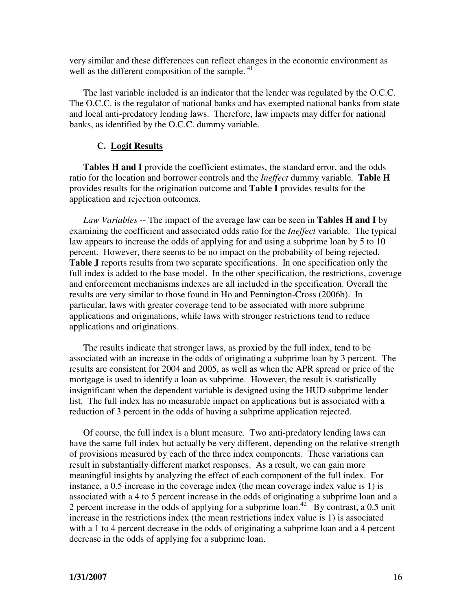very similar and these differences can reflect changes in the economic environment as well as the different composition of the sample.<sup>41</sup>

The last variable included is an indicator that the lender was regulated by the O.C.C. The O.C.C. is the regulator of national banks and has exempted national banks from state and local anti-predatory lending laws. Therefore, law impacts may differ for national banks, as identified by the O.C.C. dummy variable.

### **C. Logit Results**

**Tables H and I** provide the coefficient estimates, the standard error, and the odds ratio for the location and borrower controls and the *Ineffect* dummy variable. **Table H**  provides results for the origination outcome and **Table I** provides results for the application and rejection outcomes.

*Law Variables* -- The impact of the average law can be seen in **Tables H and I** by examining the coefficient and associated odds ratio for the *Ineffect* variable. The typical law appears to increase the odds of applying for and using a subprime loan by 5 to 10 percent. However, there seems to be no impact on the probability of being rejected. Table J reports results from two separate specifications. In one specification only the full index is added to the base model. In the other specification, the restrictions, coverage and enforcement mechanisms indexes are all included in the specification. Overall the results are very similar to those found in Ho and Pennington-Cross (2006b). In particular, laws with greater coverage tend to be associated with more subprime applications and originations, while laws with stronger restrictions tend to reduce applications and originations.

The results indicate that stronger laws, as proxied by the full index, tend to be associated with an increase in the odds of originating a subprime loan by 3 percent. The results are consistent for 2004 and 2005, as well as when the APR spread or price of the mortgage is used to identify a loan as subprime. However, the result is statistically insignificant when the dependent variable is designed using the HUD subprime lender list. The full index has no measurable impact on applications but is associated with a reduction of 3 percent in the odds of having a subprime application rejected.

Of course, the full index is a blunt measure. Two anti-predatory lending laws can have the same full index but actually be very different, depending on the relative strength of provisions measured by each of the three index components. These variations can result in substantially different market responses. As a result, we can gain more meaningful insights by analyzing the effect of each component of the full index. For instance, a 0.5 increase in the coverage index (the mean coverage index value is 1) is associated with a 4 to 5 percent increase in the odds of originating a subprime loan and a 2 percent increase in the odds of applying for a subprime loan.<sup>42</sup> By contrast, a 0.5 unit increase in the restrictions index (the mean restrictions index value is 1) is associated with a 1 to 4 percent decrease in the odds of originating a subprime loan and a 4 percent decrease in the odds of applying for a subprime loan.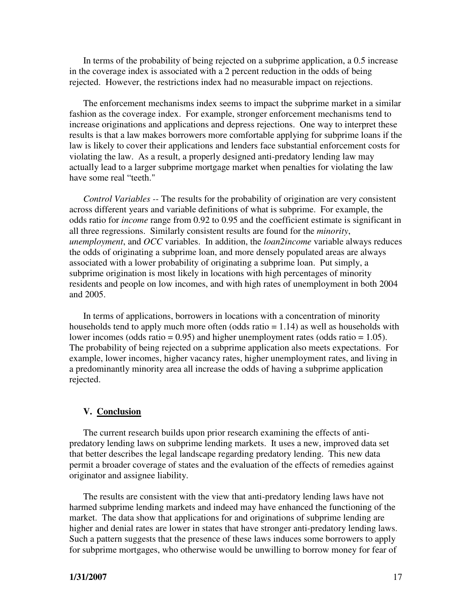In terms of the probability of being rejected on a subprime application, a 0.5 increase in the coverage index is associated with a 2 percent reduction in the odds of being rejected. However, the restrictions index had no measurable impact on rejections.

The enforcement mechanisms index seems to impact the subprime market in a similar fashion as the coverage index. For example, stronger enforcement mechanisms tend to increase originations and applications and depress rejections. One way to interpret these results is that a law makes borrowers more comfortable applying for subprime loans if the law is likely to cover their applications and lenders face substantial enforcement costs for violating the law. As a result, a properly designed anti-predatory lending law may actually lead to a larger subprime mortgage market when penalties for violating the law have some real "teeth."

*Control Variables --* The results for the probability of origination are very consistent across different years and variable definitions of what is subprime. For example, the odds ratio for *income* range from 0.92 to 0.95 and the coefficient estimate is significant in all three regressions. Similarly consistent results are found for the *minority*, *unemployment*, and *OCC* variables. In addition, the *loan2income* variable always reduces the odds of originating a subprime loan, and more densely populated areas are always associated with a lower probability of originating a subprime loan. Put simply, a subprime origination is most likely in locations with high percentages of minority residents and people on low incomes, and with high rates of unemployment in both 2004 and 2005.

In terms of applications, borrowers in locations with a concentration of minority households tend to apply much more often (odds ratio = 1.14) as well as households with lower incomes (odds ratio =  $0.95$ ) and higher unemployment rates (odds ratio = 1.05). The probability of being rejected on a subprime application also meets expectations. For example, lower incomes, higher vacancy rates, higher unemployment rates, and living in a predominantly minority area all increase the odds of having a subprime application rejected.

#### **V. Conclusion**

The current research builds upon prior research examining the effects of antipredatory lending laws on subprime lending markets. It uses a new, improved data set that better describes the legal landscape regarding predatory lending. This new data permit a broader coverage of states and the evaluation of the effects of remedies against originator and assignee liability.

The results are consistent with the view that anti-predatory lending laws have not harmed subprime lending markets and indeed may have enhanced the functioning of the market. The data show that applications for and originations of subprime lending are higher and denial rates are lower in states that have stronger anti-predatory lending laws. Such a pattern suggests that the presence of these laws induces some borrowers to apply for subprime mortgages, who otherwise would be unwilling to borrow money for fear of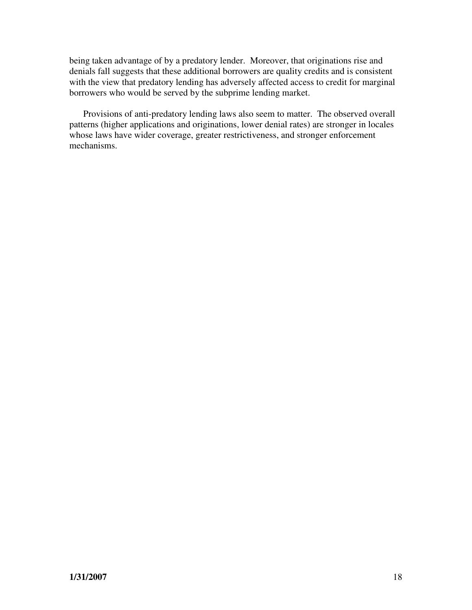being taken advantage of by a predatory lender. Moreover, that originations rise and denials fall suggests that these additional borrowers are quality credits and is consistent with the view that predatory lending has adversely affected access to credit for marginal borrowers who would be served by the subprime lending market.

Provisions of anti-predatory lending laws also seem to matter. The observed overall patterns (higher applications and originations, lower denial rates) are stronger in locales whose laws have wider coverage, greater restrictiveness, and stronger enforcement mechanisms.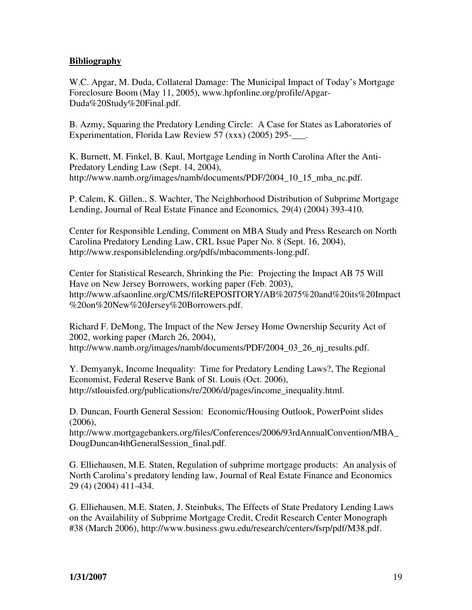# **Bibliography**

W.C. Apgar, M. Duda, Collateral Damage: The Municipal Impact of Today's Mortgage Foreclosure Boom (May 11, 2005), www.hpfonline.org/profile/Apgar-Duda%20Study%20Final.pdf.

B. Azmy, Squaring the Predatory Lending Circle: A Case for States as Laboratories of Experimentation, Florida Law Review 57 (xxx) (2005) 295-<br>

K. Burnett, M. Finkel, B. Kaul, Mortgage Lending in North Carolina After the Anti-Predatory Lending Law (Sept. 14, 2004), http://www.namb.org/images/namb/documents/PDF/2004\_10\_15\_mba\_nc.pdf.

P. Calem, K. Gillen., S. Wachter, The Neighborhood Distribution of Subprime Mortgage Lending, Journal of Real Estate Finance and Economics*,* 29(4) (2004) 393-410.

Center for Responsible Lending, Comment on MBA Study and Press Research on North Carolina Predatory Lending Law, CRL Issue Paper No. 8 (Sept. 16, 2004), http://www.responsiblelending.org/pdfs/mbacomments-long.pdf.

Center for Statistical Research, Shrinking the Pie: Projecting the Impact AB 75 Will Have on New Jersey Borrowers, working paper (Feb. 2003), http://www.afsaonline.org/CMS/fileREPOSITORY/AB%2075%20and%20its%20Impact %20on%20New%20Jersey%20Borrowers.pdf.

Richard F. DeMong, The Impact of the New Jersey Home Ownership Security Act of 2002, working paper (March 26, 2004), http://www.namb.org/images/namb/documents/PDF/2004\_03\_26\_nj\_results.pdf.

Y. Demyanyk, Income Inequality: Time for Predatory Lending Laws?, The Regional Economist, Federal Reserve Bank of St. Louis (Oct. 2006), http://stlouisfed.org/publications/re/2006/d/pages/income\_inequality.html.

D. Duncan, Fourth General Session: Economic/Housing Outlook, PowerPoint slides (2006),

http://www.mortgagebankers.org/files/Conferences/2006/93rdAnnualConvention/MBA\_ DougDuncan4thGeneralSession\_final.pdf.

G. Elliehausen, M.E. Staten, Regulation of subprime mortgage products: An analysis of North Carolina's predatory lending law, Journal of Real Estate Finance and Economics 29 (4) (2004) 411-434.

G. Elliehausen, M.E. Staten, J. Steinbuks, The Effects of State Predatory Lending Laws on the Availability of Subprime Mortgage Credit, Credit Research Center Monograph #38 (March 2006), http://www.business.gwu.edu/research/centers/fsrp/pdf/M38.pdf.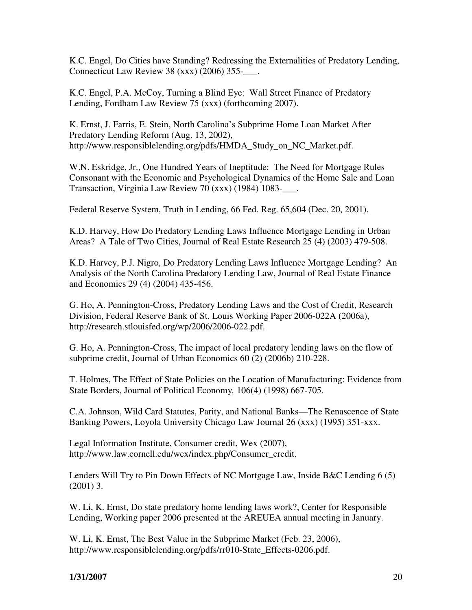K.C. Engel, Do Cities have Standing? Redressing the Externalities of Predatory Lending, Connecticut Law Review 38  $(xxx)$  (2006) 355- $\ldots$ 

K.C. Engel, P.A. McCoy, Turning a Blind Eye: Wall Street Finance of Predatory Lending, Fordham Law Review 75 (xxx) (forthcoming 2007).

K. Ernst, J. Farris, E. Stein, North Carolina's Subprime Home Loan Market After Predatory Lending Reform (Aug. 13, 2002), http://www.responsiblelending.org/pdfs/HMDA\_Study\_on\_NC\_Market.pdf.

W.N. Eskridge, Jr., One Hundred Years of Ineptitude: The Need for Mortgage Rules Consonant with the Economic and Psychological Dynamics of the Home Sale and Loan Transaction, Virginia Law Review 70  $(xxx)$  (1984) 1083- $\ldots$ 

Federal Reserve System, Truth in Lending, 66 Fed. Reg. 65,604 (Dec. 20, 2001).

K.D. Harvey, How Do Predatory Lending Laws Influence Mortgage Lending in Urban Areas? A Tale of Two Cities, Journal of Real Estate Research 25 (4) (2003) 479-508.

K.D. Harvey, P.J. Nigro, Do Predatory Lending Laws Influence Mortgage Lending? An Analysis of the North Carolina Predatory Lending Law, Journal of Real Estate Finance and Economics 29 (4) (2004) 435-456.

G. Ho, A. Pennington-Cross, Predatory Lending Laws and the Cost of Credit, Research Division, Federal Reserve Bank of St. Louis Working Paper 2006-022A (2006a), http://research.stlouisfed.org/wp/2006/2006-022.pdf.

G. Ho, A. Pennington-Cross, The impact of local predatory lending laws on the flow of subprime credit, Journal of Urban Economics 60 (2) (2006b) 210-228.

T. Holmes, The Effect of State Policies on the Location of Manufacturing: Evidence from State Borders, Journal of Political Economy*,* 106(4) (1998) 667-705.

C.A. Johnson, Wild Card Statutes, Parity, and National Banks—The Renascence of State Banking Powers, Loyola University Chicago Law Journal 26 (xxx) (1995) 351-xxx.

Legal Information Institute, Consumer credit, Wex (2007), http://www.law.cornell.edu/wex/index.php/Consumer\_credit.

Lenders Will Try to Pin Down Effects of NC Mortgage Law, Inside B&C Lending 6 (5) (2001) 3.

W. Li, K. Ernst, Do state predatory home lending laws work?, Center for Responsible Lending, Working paper 2006 presented at the AREUEA annual meeting in January.

W. Li, K. Ernst, The Best Value in the Subprime Market (Feb. 23, 2006), http://www.responsiblelending.org/pdfs/rr010-State\_Effects-0206.pdf.

# **1/31/2007** 20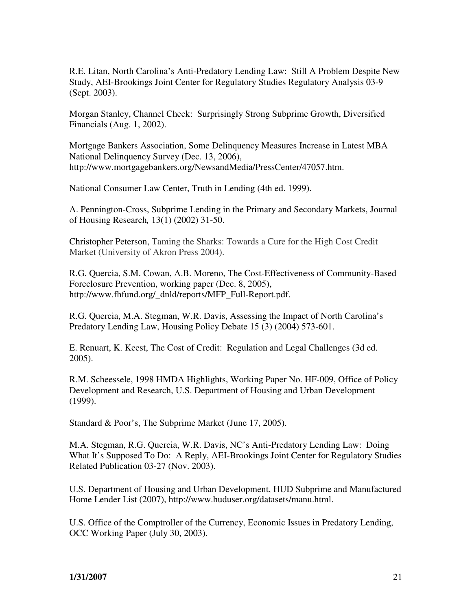R.E. Litan, North Carolina's Anti-Predatory Lending Law: Still A Problem Despite New Study, AEI-Brookings Joint Center for Regulatory Studies Regulatory Analysis 03-9 (Sept. 2003).

Morgan Stanley, Channel Check: Surprisingly Strong Subprime Growth, Diversified Financials (Aug. 1, 2002).

Mortgage Bankers Association, Some Delinquency Measures Increase in Latest MBA National Delinquency Survey (Dec. 13, 2006), http://www.mortgagebankers.org/NewsandMedia/PressCenter/47057.htm.

National Consumer Law Center, Truth in Lending (4th ed. 1999).

A. Pennington-Cross, Subprime Lending in the Primary and Secondary Markets, Journal of Housing Research*,* 13(1) (2002) 31-50.

Christopher Peterson, Taming the Sharks: Towards a Cure for the High Cost Credit Market (University of Akron Press 2004).

R.G. Quercia, S.M. Cowan, A.B. Moreno, The Cost-Effectiveness of Community-Based Foreclosure Prevention, working paper (Dec. 8, 2005), http://www.fhfund.org/\_dnld/reports/MFP\_Full-Report.pdf.

R.G. Quercia, M.A. Stegman, W.R. Davis, Assessing the Impact of North Carolina's Predatory Lending Law, Housing Policy Debate 15 (3) (2004) 573-601.

E. Renuart, K. Keest, The Cost of Credit: Regulation and Legal Challenges (3d ed. 2005).

R.M. Scheessele, 1998 HMDA Highlights, Working Paper No. HF-009, Office of Policy Development and Research, U.S. Department of Housing and Urban Development (1999).

Standard & Poor's, The Subprime Market (June 17, 2005).

M.A. Stegman, R.G. Quercia, W.R. Davis, NC's Anti-Predatory Lending Law: Doing What It's Supposed To Do: A Reply, AEI-Brookings Joint Center for Regulatory Studies Related Publication 03-27 (Nov. 2003).

U.S. Department of Housing and Urban Development, HUD Subprime and Manufactured Home Lender List (2007), http://www.huduser.org/datasets/manu.html.

U.S. Office of the Comptroller of the Currency, Economic Issues in Predatory Lending, OCC Working Paper (July 30, 2003).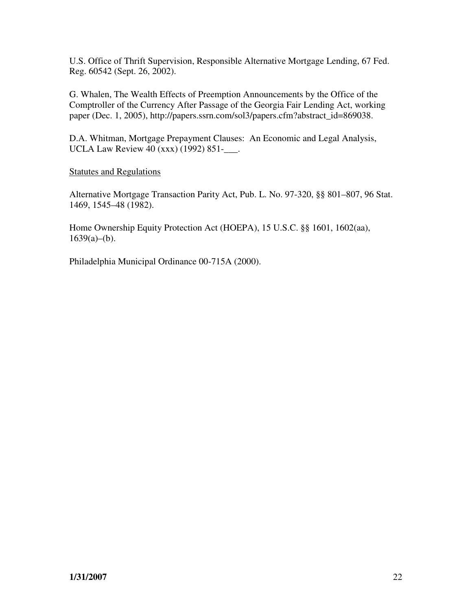U.S. Office of Thrift Supervision, Responsible Alternative Mortgage Lending, 67 Fed. Reg. 60542 (Sept. 26, 2002).

G. Whalen, The Wealth Effects of Preemption Announcements by the Office of the Comptroller of the Currency After Passage of the Georgia Fair Lending Act, working paper (Dec. 1, 2005), http://papers.ssrn.com/sol3/papers.cfm?abstract\_id=869038.

D.A. Whitman, Mortgage Prepayment Clauses: An Economic and Legal Analysis, UCLA Law Review 40 (xxx) (1992) 851-\_\_\_.

Statutes and Regulations

Alternative Mortgage Transaction Parity Act, Pub. L. No. 97-320, §§ 801–807, 96 Stat. 1469, 1545–48 (1982).

Home Ownership Equity Protection Act (HOEPA), 15 U.S.C. §§ 1601, 1602(aa),  $1639(a)–(b)$ .

Philadelphia Municipal Ordinance 00-715A (2000).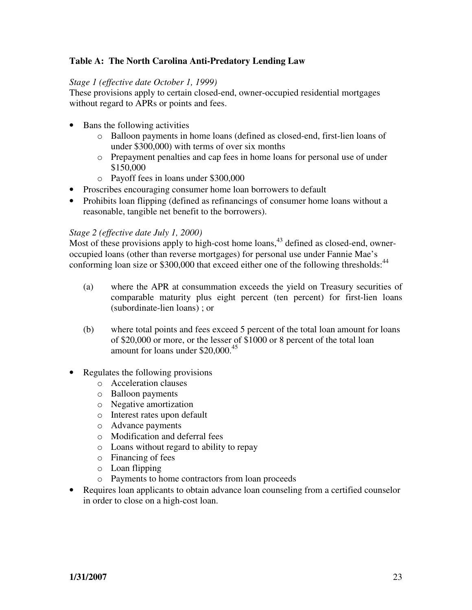# **Table A: The North Carolina Anti-Predatory Lending Law**

### *Stage 1 (effective date October 1, 1999)*

These provisions apply to certain closed-end, owner-occupied residential mortgages without regard to APRs or points and fees.

- Bans the following activities
	- o Balloon payments in home loans (defined as closed-end, first-lien loans of under \$300,000) with terms of over six months
	- o Prepayment penalties and cap fees in home loans for personal use of under \$150,000
	- o Payoff fees in loans under \$300,000
- Proscribes encouraging consumer home loan borrowers to default
- Prohibits loan flipping (defined as refinancings of consumer home loans without a reasonable, tangible net benefit to the borrowers).

### *Stage 2 (effective date July 1, 2000)*

Most of these provisions apply to high-cost home loans,<sup>43</sup> defined as closed-end, owneroccupied loans (other than reverse mortgages) for personal use under Fannie Mae's conforming loan size or \$300,000 that exceed either one of the following thresholds:<sup>44</sup>

- (a) where the APR at consummation exceeds the yield on Treasury securities of comparable maturity plus eight percent (ten percent) for first-lien loans (subordinate-lien loans) ; or
- (b) where total points and fees exceed 5 percent of the total loan amount for loans of \$20,000 or more, or the lesser of \$1000 or 8 percent of the total loan amount for loans under \$20,000.<sup>45</sup>
- Regulates the following provisions
	- o Acceleration clauses
	- o Balloon payments
	- o Negative amortization
	- o Interest rates upon default
	- o Advance payments
	- o Modification and deferral fees
	- o Loans without regard to ability to repay
	- o Financing of fees
	- o Loan flipping
	- o Payments to home contractors from loan proceeds
- Requires loan applicants to obtain advance loan counseling from a certified counselor in order to close on a high-cost loan.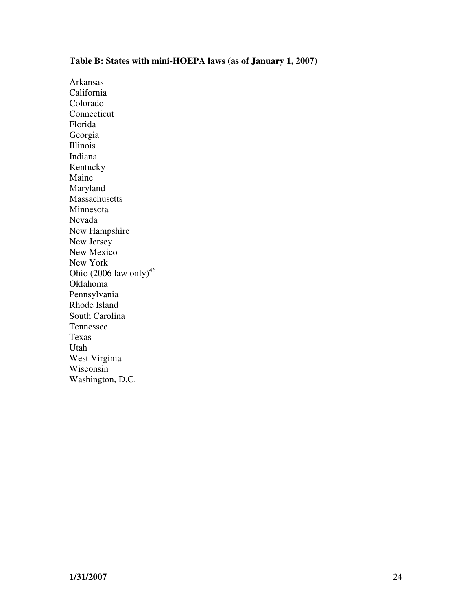# **Table B: States with mini-HOEPA laws (as of January 1, 2007)**

Arkansas California Colorado Connecticut Florida Georgia Illinois Indiana Kentucky Maine Maryland Massachusetts Minnesota Nevada New Hampshire New Jersey New Mexico New York Ohio  $(2006$  law only)<sup>46</sup> Oklahoma Pennsylvania Rhode Island South Carolina Tennessee Texas Utah West Virginia Wisconsin Washington, D.C.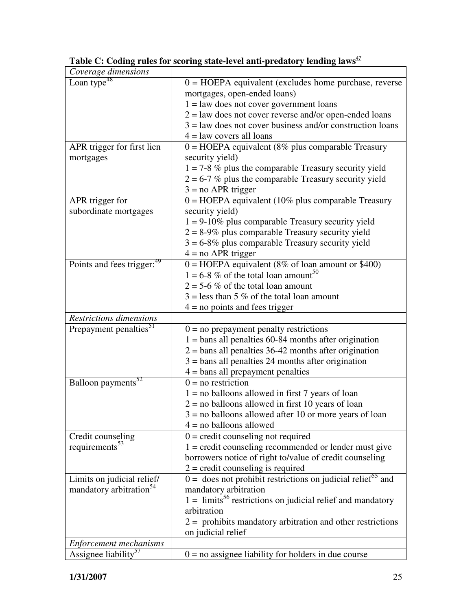| Coverage dimensions                                        |                                                                           |
|------------------------------------------------------------|---------------------------------------------------------------------------|
| Loan type <sup>48</sup>                                    | $0 = \text{HOEPA}$ equivalent (excludes home purchase, reverse            |
|                                                            | mortgages, open-ended loans)                                              |
|                                                            | $1 =$ law does not cover government loans                                 |
|                                                            | $2 =$ law does not cover reverse and/or open-ended loans                  |
|                                                            | $3 =$ law does not cover business and/or construction loans               |
|                                                            | $4 =$ law covers all loans                                                |
| APR trigger for first lien                                 | $0 = \text{HOEPA}$ equivalent (8% plus comparable Treasury                |
| mortgages                                                  | security yield)                                                           |
|                                                            | $1 = 7-8$ % plus the comparable Treasury security yield                   |
|                                                            | $2 = 6-7$ % plus the comparable Treasury security yield                   |
|                                                            | $3 = no$ APR trigger                                                      |
| APR trigger for                                            | $0 = \text{HOEPA}$ equivalent (10% plus comparable Treasury               |
| subordinate mortgages                                      | security yield)                                                           |
|                                                            | $1 = 9-10\%$ plus comparable Treasury security yield                      |
|                                                            | $2 = 8-9\%$ plus comparable Treasury security yield                       |
|                                                            | $3 = 6-8\%$ plus comparable Treasury security yield                       |
|                                                            | $4 = no$ APR trigger                                                      |
| Points and fees trigger: <sup>49</sup>                     | $0 = \text{HOEPA}$ equivalent (8% of loan amount or \$400)                |
|                                                            | $1 = 6-8$ % of the total loan amount <sup>50</sup>                        |
|                                                            | $2 = 5.6 \%$ of the total loan amount                                     |
|                                                            | $3 =$ less than 5 % of the total loan amount                              |
|                                                            | $4 =$ no points and fees trigger                                          |
| Restrictions dimensions                                    |                                                                           |
|                                                            |                                                                           |
| Prepayment penalties <sup>51</sup>                         | $0 = no$ prepayment penalty restrictions                                  |
|                                                            | $1 =$ bans all penalties 60-84 months after origination                   |
|                                                            | $2 =$ bans all penalties 36-42 months after origination                   |
|                                                            | $3 =$ bans all penalties 24 months after origination                      |
|                                                            | $4 =$ bans all prepayment penalties                                       |
| Balloon payments <sup>52</sup>                             | $0 = no restriction$                                                      |
|                                                            | $1 = no$ balloons allowed in first 7 years of loan                        |
|                                                            | $2 =$ no balloons allowed in first 10 years of loan                       |
|                                                            | $3 =$ no balloons allowed after 10 or more years of loan                  |
|                                                            | $4 = no$ balloons allowed                                                 |
| Credit counseling                                          | $0 =$ credit counseling not required                                      |
| requirements <sup>53</sup>                                 | $1 = \text{credit}$ counseling recommended or lender must give            |
|                                                            | borrowers notice of right to/value of credit counseling                   |
|                                                            | $2 = \text{credit}$ counseling is required                                |
| Limits on judicial relief/                                 | $0 =$ does not prohibit restrictions on judicial relief <sup>55</sup> and |
| mandatory arbitration <sup>54</sup>                        | mandatory arbitration                                                     |
|                                                            | $1 =$ limits <sup>56</sup> restrictions on judicial relief and mandatory  |
|                                                            | arbitration                                                               |
|                                                            | $2 =$ prohibits mandatory arbitration and other restrictions              |
|                                                            | on judicial relief                                                        |
| Enforcement mechanisms<br>Assignee liability <sup>5/</sup> | $0 = no$ assignee liability for holders in due course                     |

| Table C: Coding rules for scoring state-level anti-predatory lending laws <sup>47</sup> |
|-----------------------------------------------------------------------------------------|
|-----------------------------------------------------------------------------------------|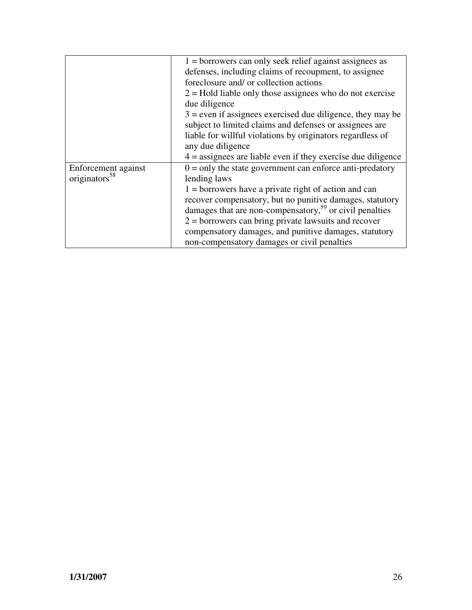|                           | $1 =$ borrowers can only seek relief against assignees as           |
|---------------------------|---------------------------------------------------------------------|
|                           | defenses, including claims of recoupment, to assignee               |
|                           | foreclosure and/ or collection actions                              |
|                           | $2 =$ Hold liable only those assignees who do not exercise          |
|                           | due diligence                                                       |
|                           | $3$ = even if assignees exercised due diligence, they may be        |
|                           | subject to limited claims and defenses or assignees are             |
|                           | liable for willful violations by originators regardless of          |
|                           | any due diligence                                                   |
|                           | $4 =$ assignees are liable even if they exercise due diligence      |
| Enforcement against       | $0 =$ only the state government can enforce anti-predatory          |
| originators <sup>58</sup> | lending laws                                                        |
|                           | $1 =$ borrowers have a private right of action and can              |
|                           | recover compensatory, but no punitive damages, statutory            |
|                           | damages that are non-compensatory, <sup>59</sup> or civil penalties |
|                           | $2 =$ borrowers can bring private lawsuits and recover              |
|                           | compensatory damages, and punitive damages, statutory               |
|                           | non-compensatory damages or civil penalties                         |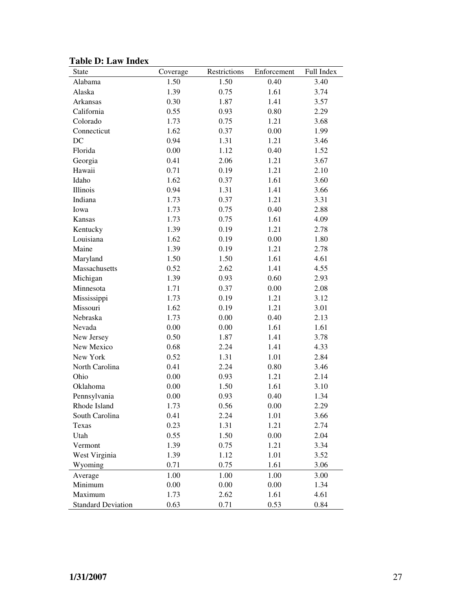| State                     | Coverage | Restrictions | Enforcement | Full Index |
|---------------------------|----------|--------------|-------------|------------|
| Alabama                   | 1.50     | 1.50         | 0.40        | 3.40       |
| Alaska                    | 1.39     | 0.75         | 1.61        | 3.74       |
| Arkansas                  | 0.30     | 1.87         | 1.41        | 3.57       |
| California                | 0.55     | 0.93         | 0.80        | 2.29       |
| Colorado                  | 1.73     | 0.75         | 1.21        | 3.68       |
| Connecticut               | 1.62     | 0.37         | 0.00        | 1.99       |
| DC                        | 0.94     | 1.31         | 1.21        | 3.46       |
| Florida                   | 0.00     | 1.12         | 0.40        | 1.52       |
| Georgia                   | 0.41     | 2.06         | 1.21        | 3.67       |
| Hawaii                    | 0.71     | 0.19         | 1.21        | 2.10       |
| Idaho                     | 1.62     | 0.37         | 1.61        | 3.60       |
| Illinois                  | 0.94     | 1.31         | 1.41        | 3.66       |
| Indiana                   | 1.73     | 0.37         | 1.21        | 3.31       |
| Iowa                      | 1.73     | 0.75         | 0.40        | 2.88       |
| Kansas                    | 1.73     | 0.75         | 1.61        | 4.09       |
| Kentucky                  | 1.39     | 0.19         | 1.21        | 2.78       |
| Louisiana                 | 1.62     | 0.19         | 0.00        | 1.80       |
| Maine                     | 1.39     | 0.19         | 1.21        | 2.78       |
| Maryland                  | 1.50     | 1.50         | 1.61        | 4.61       |
| Massachusetts             | 0.52     | 2.62         | 1.41        | 4.55       |
| Michigan                  | 1.39     | 0.93         | 0.60        | 2.93       |
| Minnesota                 | 1.71     | 0.37         | 0.00        | 2.08       |
| Mississippi               | 1.73     | 0.19         | 1.21        | 3.12       |
| Missouri                  | 1.62     | 0.19         | 1.21        | 3.01       |
| Nebraska                  | 1.73     | 0.00         | 0.40        | 2.13       |
| Nevada                    | 0.00     | 0.00         | 1.61        | 1.61       |
| New Jersey                | 0.50     | 1.87         | 1.41        | 3.78       |
| New Mexico                | 0.68     | 2.24         | 1.41        | 4.33       |
| New York                  | 0.52     | 1.31         | 1.01        | 2.84       |
| North Carolina            | 0.41     | 2.24         | 0.80        | 3.46       |
| Ohio                      | 0.00     | 0.93         | 1.21        | 2.14       |
| Oklahoma                  | 0.00     | 1.50         | 1.61        | 3.10       |
| Pennsylvania              | 0.00     | 0.93         | 0.40        | 1.34       |
| Rhode Island              | 1.73     | 0.56         | 0.00        | 2.29       |
| South Carolina            | 0.41     | 2.24         | 1.01        | 3.66       |
| Texas                     | 0.23     | 1.31         | 1.21        | 2.74       |
| Utah                      | 0.55     | 1.50         | 0.00        | 2.04       |
| Vermont                   | 1.39     | 0.75         | 1.21        | 3.34       |
| West Virginia             | 1.39     | 1.12         | 1.01        | 3.52       |
| Wyoming                   | 0.71     | 0.75         | 1.61        | 3.06       |
| Average                   | 1.00     | 1.00         | 1.00        | 3.00       |
| Minimum                   | 0.00     | 0.00         | 0.00        | 1.34       |
| Maximum                   | 1.73     | 2.62         | 1.61        | 4.61       |
| <b>Standard Deviation</b> | 0.63     | 0.71         | 0.53        | 0.84       |

**Table D: Law Index**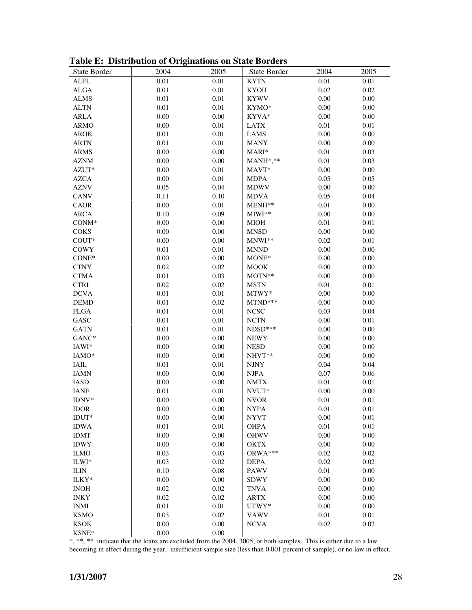| State Border                 | 2004     | 2005     | State Border | 2004     | 2005     |
|------------------------------|----------|----------|--------------|----------|----------|
| <b>ALFL</b>                  | 0.01     | 0.01     | <b>KYTN</b>  | 0.01     | 0.01     |
| <b>ALGA</b>                  | $0.01\,$ | 0.01     | <b>KYOH</b>  | 0.02     | 0.02     |
| <b>ALMS</b>                  | $0.01\,$ | 0.01     | <b>KYWV</b>  | 0.00     | 0.00     |
| <b>ALTN</b>                  | $0.01\,$ | $0.01\,$ | KYMO*        | $0.00\,$ | $0.00\,$ |
| <b>ARLA</b>                  | 0.00     | $0.00\,$ | KYVA*        | $0.00\,$ | $0.00\,$ |
| <b>ARMO</b>                  | 0.00     | $0.01\,$ | <b>LATX</b>  | $0.01\,$ | $0.01\,$ |
| <b>AROK</b>                  | $0.01\,$ | $0.01\,$ | <b>LAMS</b>  | 0.00     | $0.00\,$ |
| <b>ARTN</b>                  | $0.01\,$ | 0.01     | <b>MANY</b>  | 0.00     | $0.00\,$ |
| ARMS                         | 0.00     | 0.00     | MARI*        | 0.01     | 0.03     |
| <b>AZNM</b>                  | 0.00     | $0.00\,$ | MANH*,**     | 0.01     | 0.03     |
| AZUT*                        | 0.00     | $0.01\,$ | MAVT*        | 0.00     | $0.00\,$ |
| <b>AZCA</b>                  | 0.00     | 0.01     | <b>MDPA</b>  | 0.05     | 0.05     |
| <b>AZNV</b>                  | 0.05     | 0.04     | <b>MDWV</b>  | 0.00     | $0.00\,$ |
| <b>CANV</b>                  | 0.11     | 0.10     | <b>MDVA</b>  | 0.05     | 0.04     |
| <b>CAOR</b>                  | 0.00     | 0.01     | MENH**       | $0.01\,$ | $0.00\,$ |
| <b>ARCA</b>                  | 0.10     | 0.09     | MIWI**       | $0.00\,$ | 0.00     |
| $CONM*$                      | 0.00     | 0.00     | <b>MIOH</b>  | $0.01\,$ | 0.01     |
| <b>COKS</b>                  | 0.00     | $0.00\,$ | <b>MNSD</b>  | 0.00     | 0.00     |
| $COUT*$                      | $0.00\,$ | $0.00\,$ | MNWI**       | 0.02     | 0.01     |
| <b>COWY</b>                  | $0.01\,$ | 0.01     | <b>MNND</b>  | 0.00     | 0.00     |
| CONE*                        | 0.00     | 0.00     | MONE*        | 0.00     | 0.00     |
| <b>CTNY</b>                  | 0.02     | 0.02     | <b>MOOK</b>  | 0.00     | $0.00\,$ |
| <b>CTMA</b>                  | $0.01\,$ | 0.03     | MOTN**       | 0.00     | $0.00\,$ |
| <b>CTRI</b>                  | 0.02     | $0.02\,$ | <b>MSTN</b>  | $0.01\,$ | $0.01\,$ |
| <b>DCVA</b>                  | $0.01\,$ | 0.01     | MTWY*        | 0.00     | $0.00\,$ |
| <b>DEMD</b>                  | $0.01\,$ | 0.02     | MTND***      | 0.00     | 0.00     |
| <b>FLGA</b>                  | $0.01\,$ | 0.01     | <b>NCSC</b>  | 0.03     | 0.04     |
| GASC                         | $0.01\,$ | 0.01     | <b>NCTN</b>  | $0.00\,$ | $0.01\,$ |
| <b>GATN</b>                  | $0.01\,$ | 0.01     | NDSD***      | $0.00\,$ | $0.00\,$ |
| GANC*                        | 0.00     | $0.00\,$ | <b>NEWY</b>  | 0.00     | $0.00\,$ |
| IAWI*                        | 0.00     | $0.00\,$ | <b>NESD</b>  | $0.00\,$ | $0.00\,$ |
| IAMO*                        | 0.00     | $0.00\,$ | NHVT**       | 0.00     | $0.00\,$ |
| IAIL                         | $0.01\,$ | 0.01     | <b>NJNY</b>  | 0.04     | 0.04     |
| <b>IAMN</b>                  | 0.00     | $0.00\,$ | <b>NJPA</b>  | 0.07     | 0.06     |
| $\ensuremath{\mathsf{IASD}}$ | 0.00     | $0.00\,$ | <b>NMTX</b>  | $0.01\,$ | $0.01\,$ |
| <b>IANE</b>                  | $0.01\,$ | $0.01\,$ | NVUT*        | 0.00     | $0.00\,$ |
| IDNV*                        | 0.00     | $0.00\,$ | <b>NVOR</b>  | 0.01     | 0.01     |
| <b>IDOR</b>                  | 0.00     | 0.00     | NYPA         | 0.01     | 0.01     |
| IDUT*                        | 0.00     | $0.00\,$ | <b>NYVT</b>  | 0.00     | 0.01     |
| <b>IDWA</b>                  | $0.01\,$ | 0.01     | <b>OHPA</b>  | $0.01\,$ | 0.01     |
| <b>IDMT</b>                  | 0.00     | $0.00\,$ | <b>OHWV</b>  | $0.00\,$ | 0.00     |
| <b>IDWY</b>                  | 0.00     | $0.00\,$ | <b>OKTX</b>  | 0.00     | $0.00\,$ |
| <b>ILMO</b>                  | 0.03     | 0.03     | ORWA***      | 0.02     | $0.02\,$ |
| ILWI*                        | 0.03     | 0.02     | <b>DEPA</b>  | 0.02     | $0.02\,$ |
| <b>ILIN</b>                  | 0.10     | 0.08     | <b>PAWV</b>  | 0.01     | 0.00     |
| ILKY*                        | 0.00     | $0.00\,$ | <b>SDWY</b>  | 0.00     | 0.00     |
| <b>INOH</b>                  | 0.02     | $0.02\,$ | <b>TNVA</b>  | 0.00     | 0.00     |
| <b>INKY</b>                  | 0.02     | 0.02     | <b>ARTX</b>  | 0.00     | 0.00     |
| <b>INMI</b>                  | 0.01     | 0.01     | UTWY*        | 0.00     | 0.00     |
| <b>KSMO</b>                  | 0.03     | 0.02     | <b>VAWV</b>  | $0.01\,$ | 0.01     |
| <b>KSOK</b>                  | 0.00     | 0.00     | <b>NCVA</b>  | 0.02     | 0.02     |
| KSNE*                        | 0.00     | 0.00     |              |          |          |

**Table E: Distribution of Originations on State Borders** 

\*, \*\*, \*\* indicate that the loans are excluded from the 2004, 3005, or both samples. This is either due to a law becoming in effect during the year, insufficient sample size (less than 0.001 percent of sample), or no law in effect.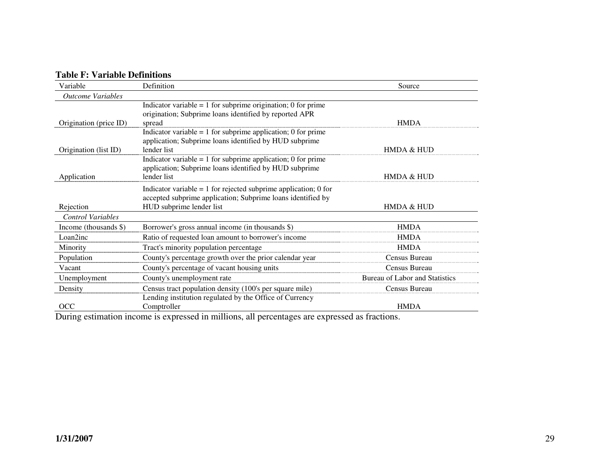### **Table F: Variable Definitions**

| Variable                 | Definition                                                                                                                                                   | Source                                |
|--------------------------|--------------------------------------------------------------------------------------------------------------------------------------------------------------|---------------------------------------|
| <b>Outcome Variables</b> |                                                                                                                                                              |                                       |
| Origination (price ID)   | Indicator variable = $1$ for subprime origination; 0 for prime<br>origination; Subprime loans identified by reported APR<br>spread                           | <b>HMDA</b>                           |
| Origination (list ID)    | Indicator variable $= 1$ for subprime application; 0 for prime<br>application; Subprime loans identified by HUD subprime<br>lender list                      | HMDA & HUD                            |
| Application              | Indicator variable $= 1$ for subprime application; 0 for prime<br>application; Subprime loans identified by HUD subprime<br>lender list                      | <b>HMDA &amp; HUD</b>                 |
| Rejection                | Indicator variable $= 1$ for rejected subprime application; 0 for<br>accepted subprime application; Subprime loans identified by<br>HUD subprime lender list | HMDA & HUD                            |
| <b>Control Variables</b> |                                                                                                                                                              |                                       |
| Income (thousands $\$ )  | Borrower's gross annual income (in thousands \$)                                                                                                             | <b>HMDA</b>                           |
| Loan2inc                 | Ratio of requested loan amount to borrower's income                                                                                                          | <b>HMDA</b>                           |
| Minority                 | Tract's minority population percentage                                                                                                                       | <b>HMDA</b>                           |
| Population               | County's percentage growth over the prior calendar year                                                                                                      | Census Bureau                         |
| Vacant                   | County's percentage of vacant housing units                                                                                                                  | Census Bureau                         |
| Unemployment             | County's unemployment rate                                                                                                                                   | <b>Bureau of Labor and Statistics</b> |
| Density                  | Census tract population density (100's per square mile)                                                                                                      | Census Bureau                         |
| OCC                      | Lending institution regulated by the Office of Currency<br>Comptroller<br>$\cdots$<br><br>$\mathbf{H}$                                                       | <b>HMDA</b><br>$\mathbf{H}$<br>$\sim$ |

During estimation income is expressed in millions, all percentages are expressed as fractions.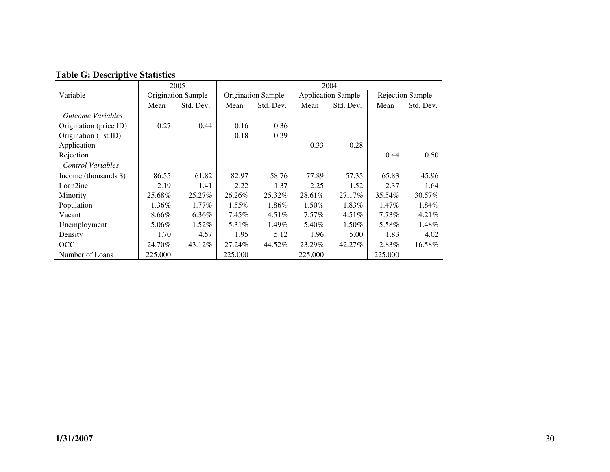|                                 |         | 2005                      | 2004     |                           |          |                           |          |                         |
|---------------------------------|---------|---------------------------|----------|---------------------------|----------|---------------------------|----------|-------------------------|
| Variable                        |         | <b>Origination Sample</b> |          | <b>Origination Sample</b> |          | <b>Application Sample</b> |          | <b>Rejection Sample</b> |
|                                 | Mean    | Std. Dev.                 | Mean     | Std. Dev.                 | Mean     | Std. Dev.                 | Mean     | Std. Dev.               |
| <i><b>Outcome Variables</b></i> |         |                           |          |                           |          |                           |          |                         |
| Origination (price ID)          | 0.27    | 0.44                      | 0.16     | 0.36                      |          |                           |          |                         |
| Origination (list ID)           |         |                           | 0.18     | 0.39                      |          |                           |          |                         |
| Application                     |         |                           |          |                           | 0.33     | 0.28                      |          |                         |
| Rejection                       |         |                           |          |                           |          |                           | 0.44     | 0.50                    |
| <b>Control Variables</b>        |         |                           |          |                           |          |                           |          |                         |
| Income (thousands $\$ )         | 86.55   | 61.82                     | 82.97    | 58.76                     | 77.89    | 57.35                     | 65.83    | 45.96                   |
| Loan2inc                        | 2.19    | 1.41                      | 2.22     | 1.37                      | 2.25     | 1.52                      | 2.37     | 1.64                    |
| Minority                        | 25.68%  | 25.27%                    | 26.26%   | 25.32%                    | 28.61%   | 27.17%                    | 35.54%   | 30.57%                  |
| Population                      | 1.36%   | $1.77\%$                  | $1.55\%$ | 1.86%                     | 1.50%    | 1.83%                     | 1.47%    | 1.84%                   |
| Vacant                          | 8.66%   | 6.36%                     | $7.45\%$ | $4.51\%$                  | $7.57\%$ | $4.51\%$                  | $7.73\%$ | $4.21\%$                |
| Unemployment                    | 5.06%   | 1.52%                     | 5.31%    | 1.49%                     | 5.40%    | 1.50%                     | 5.58%    | 1.48%                   |
| Density                         | 1.70    | 4.57                      | 1.95     | 5.12                      | 1.96     | 5.00                      | 1.83     | 4.02                    |
| OCC                             | 24.70%  | 43.12%                    | 27.24%   | 44.52%                    | 23.29%   | 42.27%                    | 2.83%    | 16.58%                  |
| Number of Loans                 | 225.000 |                           | 225,000  |                           | 225,000  |                           | 225,000  |                         |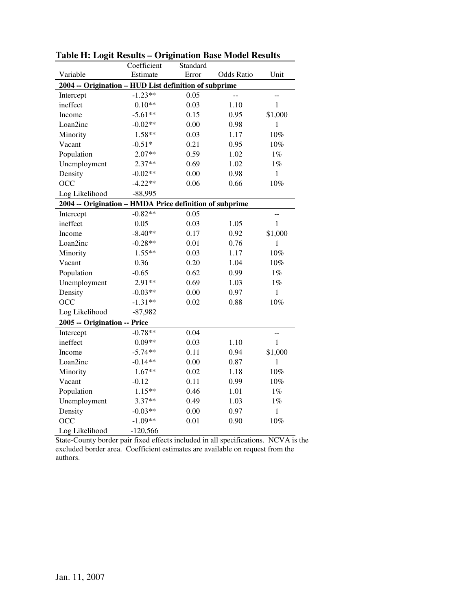|                                                         | Coefficient | Standard |            |              |  |  |
|---------------------------------------------------------|-------------|----------|------------|--------------|--|--|
| Variable                                                | Estimate    | Error    | Odds Ratio | Unit         |  |  |
| 2004 -- Origination - HUD List definition of subprime   |             |          |            |              |  |  |
| Intercept                                               | $-1.23**$   | 0.05     |            | --           |  |  |
| ineffect                                                | $0.10**$    | 0.03     | 1.10       | $\mathbf{1}$ |  |  |
| Income                                                  | $-5.61**$   | 0.15     | 0.95       | \$1,000      |  |  |
| Loan2inc                                                | $-0.02**$   | 0.00     | 0.98       | $\mathbf{1}$ |  |  |
| Minority                                                | 1.58**      | 0.03     | 1.17       | $10\%$       |  |  |
| Vacant                                                  | $-0.51*$    | 0.21     | 0.95       | 10%          |  |  |
| Population                                              | $2.07**$    | 0.59     | 1.02       | $1\%$        |  |  |
| Unemployment                                            | $2.37**$    | 0.69     | 1.02       | $1\%$        |  |  |
| Density                                                 | $-0.02**$   | 0.00     | 0.98       | $\mathbf{1}$ |  |  |
| OCC                                                     | $-4.22**$   | 0.06     | 0.66       | $10\%$       |  |  |
| Log Likelihood                                          | $-88,995$   |          |            |              |  |  |
| 2004 -- Origination - HMDA Price definition of subprime |             |          |            |              |  |  |
| Intercept                                               | $-0.82**$   | 0.05     |            | --           |  |  |
| ineffect                                                | 0.05        | 0.03     | 1.05       | $\mathbf{1}$ |  |  |
| Income                                                  | $-8.40**$   | 0.17     | 0.92       | \$1,000      |  |  |
| Loan2inc                                                | $-0.28**$   | 0.01     | 0.76       | $\mathbf{1}$ |  |  |
| Minority                                                | $1.55**$    | 0.03     | 1.17       | $10\%$       |  |  |
| Vacant                                                  | 0.36        | 0.20     | 1.04       | 10%          |  |  |
| Population                                              | $-0.65$     | 0.62     | 0.99       | $1\%$        |  |  |
| Unemployment                                            | 2.91**      | 0.69     | 1.03       | $1\%$        |  |  |
| Density                                                 | $-0.03**$   | 0.00     | 0.97       | $\mathbf{1}$ |  |  |
| OCC                                                     | $-1.31**$   | 0.02     | 0.88       | 10%          |  |  |
| Log Likelihood                                          | $-87,982$   |          |            |              |  |  |
| 2005 -- Origination -- Price                            |             |          |            |              |  |  |
| Intercept                                               | $-0.78**$   | 0.04     |            | $-$          |  |  |
| ineffect                                                | $0.09**$    | 0.03     | 1.10       | 1            |  |  |
| Income                                                  | $-5.74**$   | 0.11     | 0.94       | \$1,000      |  |  |
| Loan2inc                                                | $-0.14**$   | 0.00     | 0.87       | 1            |  |  |
| Minority                                                | $1.67**$    | 0.02     | 1.18       | $10\%$       |  |  |
| Vacant                                                  | $-0.12$     | 0.11     | 0.99       | 10%          |  |  |
| Population                                              | $1.15**$    | 0.46     | 1.01       | $1\%$        |  |  |
| Unemployment                                            | 3.37**      | 0.49     | 1.03       | $1\%$        |  |  |
| Density                                                 | $-0.03**$   | 0.00     | 0.97       | $\mathbf{1}$ |  |  |
| OCC                                                     | $-1.09**$   | 0.01     | 0.90       | 10%          |  |  |
| Log Likelihood                                          | $-120,566$  |          |            |              |  |  |

**Table H: Logit Results – Origination Base Model Results** 

State-County border pair fixed effects included in all specifications. NCVA is the excluded border area. Coefficient estimates are available on request from the authors.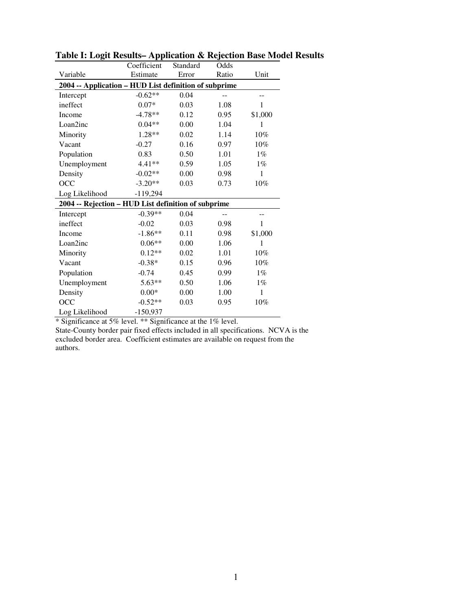|                                                       | Coefficient | Standard | Odds  |         |  |  |  |
|-------------------------------------------------------|-------------|----------|-------|---------|--|--|--|
| Variable                                              | Estimate    | Error    | Ratio | Unit    |  |  |  |
| 2004 -- Application – HUD List definition of subprime |             |          |       |         |  |  |  |
| Intercept                                             | $-0.62**$   | 0.04     |       |         |  |  |  |
| ineffect                                              | $0.07*$     | 0.03     | 1.08  | 1       |  |  |  |
| Income                                                | $-4.78**$   | 0.12     | 0.95  | \$1,000 |  |  |  |
| Loan2inc                                              | $0.04**$    | 0.00     | 1.04  | 1       |  |  |  |
| Minority                                              | $1.28**$    | 0.02     | 1.14  | 10%     |  |  |  |
| Vacant                                                | $-0.27$     | 0.16     | 0.97  | 10%     |  |  |  |
| Population                                            | 0.83        | 0.50     | 1.01  | $1\%$   |  |  |  |
| Unemployment                                          | 4.41**      | 0.59     | 1.05  | $1\%$   |  |  |  |
| Density                                               | $-0.02**$   | 0.00     | 0.98  | 1       |  |  |  |
| OCC                                                   | $-3.20**$   | 0.03     | 0.73  | $10\%$  |  |  |  |
| Log Likelihood                                        | $-119,294$  |          |       |         |  |  |  |
| 2004 -- Rejection - HUD List definition of subprime   |             |          |       |         |  |  |  |
| Intercept                                             | $-0.39**$   | 0.04     |       |         |  |  |  |
| ineffect                                              | $-0.02$     | 0.03     | 0.98  | 1       |  |  |  |
| Income                                                | $-1.86**$   | 0.11     | 0.98  | \$1,000 |  |  |  |
| Loan2inc                                              | $0.06**$    | 0.00     | 1.06  | 1       |  |  |  |
| Minority                                              | $0.12**$    | 0.02     | 1.01  | $10\%$  |  |  |  |
| Vacant                                                | $-0.38*$    | 0.15     | 0.96  | 10%     |  |  |  |
| Population                                            | $-0.74$     | 0.45     | 0.99  | $1\%$   |  |  |  |
| Unemployment                                          | $5.63**$    | 0.50     | 1.06  | $1\%$   |  |  |  |
| Density                                               | $0.00*$     | 0.00     | 1.00  | 1       |  |  |  |
| <b>OCC</b>                                            | $-0.52**$   | 0.03     | 0.95  | 10%     |  |  |  |
| Log Likelihood                                        | $-150,937$  |          |       |         |  |  |  |

**Table I: Logit Results– Application & Rejection Base Model Results** 

\* Significance at 5% level. \*\* Significance at the 1% level.

State-County border pair fixed effects included in all specifications. NCVA is the excluded border area. Coefficient estimates are available on request from the authors.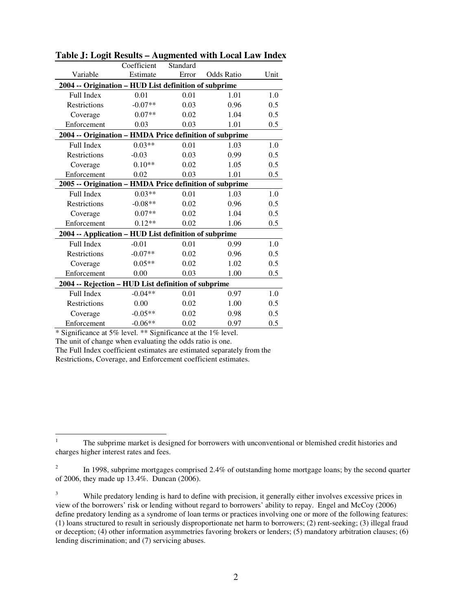|                                                         | Coefficient | Standard |            |      |  |  |  |
|---------------------------------------------------------|-------------|----------|------------|------|--|--|--|
| Variable                                                | Estimate    | Error    | Odds Ratio | Unit |  |  |  |
| 2004 -- Origination - HUD List definition of subprime   |             |          |            |      |  |  |  |
| Full Index                                              | 0.01        | 0.01     | 1.01       | 1.0  |  |  |  |
| <b>Restrictions</b>                                     | $-0.07**$   | 0.03     | 0.96       | 0.5  |  |  |  |
| Coverage                                                | $0.07**$    | 0.02     | 1.04       | 0.5  |  |  |  |
| Enforcement                                             | 0.03        | 0.03     | 1.01       | 0.5  |  |  |  |
| 2004 -- Origination - HMDA Price definition of subprime |             |          |            |      |  |  |  |
| Full Index                                              | $0.03**$    | 0.01     | 1.03       | 1.0  |  |  |  |
| Restrictions                                            | $-0.03$     | 0.03     | 0.99       | 0.5  |  |  |  |
| Coverage                                                | $0.10**$    | 0.02     | 1.05       | 0.5  |  |  |  |
| Enforcement                                             | 0.02        | 0.03     | 1.01       | 0.5  |  |  |  |
| 2005 -- Origination - HMDA Price definition of subprime |             |          |            |      |  |  |  |
| Full Index                                              | $0.03**$    | 0.01     | 1.03       | 1.0  |  |  |  |
| Restrictions                                            | $-0.08**$   | 0.02     | 0.96       | 0.5  |  |  |  |
| Coverage                                                | $0.07**$    | 0.02     | 1.04       | 0.5  |  |  |  |
| Enforcement                                             | $0.12**$    | 0.02     | 1.06       | 0.5  |  |  |  |
| 2004 -- Application - HUD List definition of subprime   |             |          |            |      |  |  |  |
| Full Index                                              | $-0.01$     | 0.01     | 0.99       | 1.0  |  |  |  |
| Restrictions                                            | $-0.07**$   | 0.02     | 0.96       | 0.5  |  |  |  |
| Coverage                                                | $0.05**$    | 0.02     | 1.02       | 0.5  |  |  |  |
| Enforcement                                             | 0.00        | 0.03     | 1.00       | 0.5  |  |  |  |
| 2004 -- Rejection - HUD List definition of subprime     |             |          |            |      |  |  |  |
| Full Index                                              | $-0.04**$   | 0.01     | 0.97       | 1.0  |  |  |  |
| Restrictions                                            | 0.00        | 0.02     | 1.00       | 0.5  |  |  |  |
| Coverage                                                | $-0.05**$   | 0.02     | 0.98       | 0.5  |  |  |  |
| Enforcement                                             | $-0.06**$   | 0.02     | 0.97       | 0.5  |  |  |  |

| Table J: Logit Results - Augmented with Local Law Index |  |  |
|---------------------------------------------------------|--|--|
|---------------------------------------------------------|--|--|

\* Significance at 5% level. \*\* Significance at the 1% level.

The unit of change when evaluating the odds ratio is one.

The Full Index coefficient estimates are estimated separately from the

Restrictions, Coverage, and Enforcement coefficient estimates.

 $\frac{1}{1}$  The subprime market is designed for borrowers with unconventional or blemished credit histories and charges higher interest rates and fees.

<sup>2</sup> In 1998, subprime mortgages comprised 2.4% of outstanding home mortgage loans; by the second quarter of 2006, they made up 13.4%. Duncan (2006).

<sup>3</sup> While predatory lending is hard to define with precision, it generally either involves excessive prices in view of the borrowers' risk or lending without regard to borrowers' ability to repay. Engel and McCoy (2006) define predatory lending as a syndrome of loan terms or practices involving one or more of the following features: (1) loans structured to result in seriously disproportionate net harm to borrowers; (2) rent-seeking; (3) illegal fraud or deception; (4) other information asymmetries favoring brokers or lenders; (5) mandatory arbitration clauses; (6) lending discrimination; and (7) servicing abuses.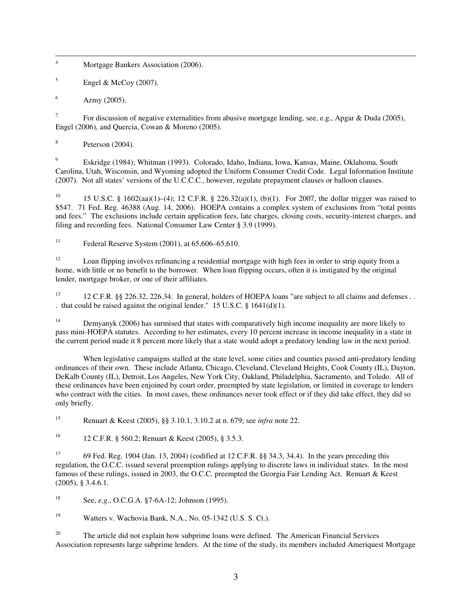$\frac{1}{4}$ Mortgage Bankers Association (2006).

5 Engel & McCoy (2007).

6 Azmy (2005).

7 For discussion of negative externalities from abusive mortgage lending, see, e.g., Apgar & Duda (2005), Engel (2006), and Quercia, Cowan & Moreno (2005).

8 Peterson (2004).

 $\overline{Q}$  Eskridge (1984); Whitman (1993). Colorado, Idaho, Indiana, Iowa, Kansas, Maine, Oklahoma, South Carolina, Utah, Wisconsin, and Wyoming adopted the Uniform Consumer Credit Code. Legal Information Institute (2007). Not all states' versions of the U.C.C.C., however, regulate prepayment clauses or balloon clauses.

<sup>10</sup> 15 U.S.C. § 1602(aa)(1)–(4); 12 C.F.R. § 226.32(a)(1), (b)(1). For 2007, the dollar trigger was raised to \$547. 71 Fed. Reg. 46388 (Aug. 14, 2006). HOEPA contains a complex system of exclusions from "total points and fees." The exclusions include certain application fees, late charges, closing costs, security-interest charges, and filing and recording fees. National Consumer Law Center § 3.9 (1999).

<sup>11</sup> Federal Reserve System  $(2001)$ , at  $65,606-65,610$ .

<sup>12</sup> Loan flipping involves refinancing a residential mortgage with high fees in order to strip equity from a home, with little or no benefit to the borrower. When loan flipping occurs, often it is instigated by the original lender, mortgage broker, or one of their affiliates.

<sup>13</sup> 12 C.F.R. §§ 226.32, 226.34. In general, holders of HOEPA loans "are subject to all claims and defenses . . . that could be raised against the original lender." 15 U.S.C. § 1641(d)(1).

<sup>14</sup> Demyanyk (2006) has surmised that states with comparatively high income inequality are more likely to pass mini-HOEPA statutes. According to her estimates, every 10 percent increase in income inequality in a state in the current period made it 8 percent more likely that a state would adopt a predatory lending law in the next period.

 When legislative campaigns stalled at the state level, some cities and counties passed anti-predatory lending ordinances of their own. These include Atlanta, Chicago, Cleveland, Cleveland Heights, Cook County (IL), Dayton, DeKalb County (IL), Detroit, Los Angeles, New York City, Oakland, Philadelphia, Sacramento, and Toledo. All of these ordinances have been enjoined by court order, preempted by state legislation, or limited in coverage to lenders who contract with the cities. In most cases, these ordinances never took effect or if they did take effect, they did so only briefly.

<sup>15</sup> Renuart & Keest (2005), §§ 3.10.1, 3.10.2 at n. 679; see *infra* note 22.

<sup>16</sup> 12 C.F.R. § 560.2; Renuart & Keest (2005), § 3.5.3.

<sup>17</sup> 69 Fed. Reg. 1904 (Jan. 13, 2004) (codified at 12 C.F.R. §§ 34.3, 34.4). In the years preceding this regulation, the O.C.C. issued several preemption rulings applying to discrete laws in individual states. In the most famous of these rulings, issued in 2003, the O.C.C. preempted the Georgia Fair Lending Act. Renuart & Keest (2005), § 3.4.6.1.

<sup>18</sup> See, *e.g*., O.C.G.A. §7-6A-12; Johnson (1995).

<sup>19</sup> Watters v. Wachovia Bank, N.A., No. 05-1342 (U.S. S. Ct.).

<sup>20</sup> The article did not explain how subprime loans were defined. The American Financial Services Association represents large subprime lenders. At the time of the study, its members included Ameriquest Mortgage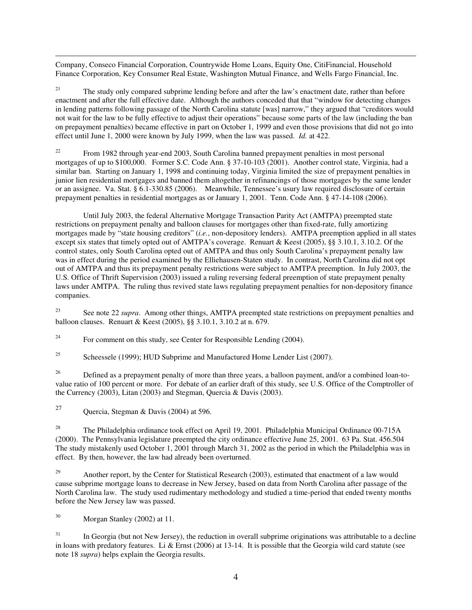$\overline{a}$ Company, Conseco Financial Corporation, Countrywide Home Loans, Equity One, CitiFinancial, Household Finance Corporation, Key Consumer Real Estate, Washington Mutual Finance, and Wells Fargo Financial, Inc.

<sup>21</sup> The study only compared subprime lending before and after the law's enactment date, rather than before enactment and after the full effective date. Although the authors conceded that that "window for detecting changes in lending patterns following passage of the North Carolina statute [was] narrow," they argued that "creditors would not wait for the law to be fully effective to adjust their operations" because some parts of the law (including the ban on prepayment penalties) became effective in part on October 1, 1999 and even those provisions that did not go into effect until June 1, 2000 were known by July 1999, when the law was passed. *Id.* at 422.

<sup>22</sup> From 1982 through year-end 2003, South Carolina banned prepayment penalties in most personal mortgages of up to \$100,000. Former S.C. Code Ann. § 37-10-103 (2001). Another control state, Virginia, had a similar ban. Starting on January 1, 1998 and continuing today, Virginia limited the size of prepayment penalties in junior lien residential mortgages and banned them altogether in refinancings of those mortgages by the same lender or an assignee. Va. Stat. § 6.1-330.85 (2006). Meanwhile, Tennessee's usury law required disclosure of certain prepayment penalties in residential mortgages as or January 1, 2001. Tenn. Code Ann. § 47-14-108 (2006).

 Until July 2003, the federal Alternative Mortgage Transaction Parity Act (AMTPA) preempted state restrictions on prepayment penalty and balloon clauses for mortgages other than fixed-rate, fully amortizing mortgages made by "state housing creditors" (*i.e.*, non-depository lenders). AMTPA preemption applied in all states except six states that timely opted out of AMTPA's coverage. Renuart & Keest (2005), §§ 3.10.1, 3.10.2. Of the control states, only South Carolina opted out of AMTPA and thus only South Carolina's prepayment penalty law was in effect during the period examined by the Elliehausen-Staten study. In contrast, North Carolina did not opt out of AMTPA and thus its prepayment penalty restrictions were subject to AMTPA preemption. In July 2003, the U.S. Office of Thrift Supervision (2003) issued a ruling reversing federal preemption of state prepayment penalty laws under AMTPA. The ruling thus revived state laws regulating prepayment penalties for non-depository finance companies.

<sup>23</sup> See note 22 *supra*. Among other things, AMTPA preempted state restrictions on prepayment penalties and balloon clauses. Renuart & Keest (2005), §§ 3.10.1, 3.10.2 at n. 679.

<sup>24</sup> For comment on this study, see Center for Responsible Lending  $(2004)$ .

<sup>25</sup> Scheessele (1999); HUD Subprime and Manufactured Home Lender List (2007).

<sup>26</sup> Defined as a prepayment penalty of more than three years, a balloon payment, and/or a combined loan-tovalue ratio of 100 percent or more. For debate of an earlier draft of this study, see U.S. Office of the Comptroller of the Currency (2003), Litan (2003) and Stegman, Quercia & Davis (2003).

27 Quercia, Stegman & Davis (2004) at 596.

<sup>28</sup> The Philadelphia ordinance took effect on April 19, 2001. Philadelphia Municipal Ordinance 00-715A (2000). The Pennsylvania legislature preempted the city ordinance effective June 25, 2001. 63 Pa. Stat. 456.504 The study mistakenly used October 1, 2001 through March 31, 2002 as the period in which the Philadelphia was in effect. By then, however, the law had already been overturned.

<sup>29</sup> Another report, by the Center for Statistical Research (2003), estimated that enactment of a law would cause subprime mortgage loans to decrease in New Jersey, based on data from North Carolina after passage of the North Carolina law. The study used rudimentary methodology and studied a time-period that ended twenty months before the New Jersey law was passed.

<sup>30</sup> Morgan Stanley (2002) at 11.

 $31$  In Georgia (but not New Jersey), the reduction in overall subprime originations was attributable to a decline in loans with predatory features. Li & Ernst  $(2006)$  at 13-14. It is possible that the Georgia wild card statute (see note 18 *supra*) helps explain the Georgia results.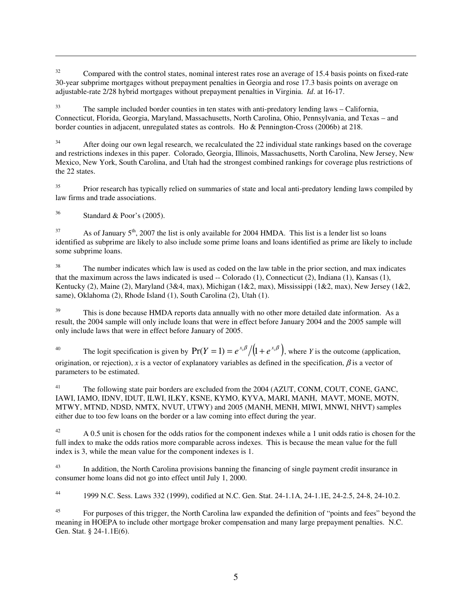<sup>32</sup> Compared with the control states, nominal interest rates rose an average of 15.4 basis points on fixed-rate 30-year subprime mortgages without prepayment penalties in Georgia and rose 17.3 basis points on average on adjustable-rate 2/28 hybrid mortgages without prepayment penalties in Virginia. *Id*. at 16-17.

<sup>33</sup> The sample included border counties in ten states with anti-predatory lending laws – California, Connecticut, Florida, Georgia, Maryland, Massachusetts, North Carolina, Ohio, Pennsylvania, and Texas – and border counties in adjacent, unregulated states as controls. Ho & Pennington-Cross (2006b) at 218.

<sup>34</sup> After doing our own legal research, we recalculated the 22 individual state rankings based on the coverage and restrictions indexes in this paper. Colorado, Georgia, Illinois, Massachusetts, North Carolina, New Jersey, New Mexico, New York, South Carolina, and Utah had the strongest combined rankings for coverage plus restrictions of the 22 states.

<sup>35</sup> Prior research has typically relied on summaries of state and local anti-predatory lending laws compiled by law firms and trade associations.

 $36$  Standard & Poor's (2005).

 $\overline{a}$ 

 $37$  As of January  $5<sup>th</sup>$ , 2007 the list is only available for 2004 HMDA. This list is a lender list so loans identified as subprime are likely to also include some prime loans and loans identified as prime are likely to include some subprime loans.

<sup>38</sup> The number indicates which law is used as coded on the law table in the prior section, and max indicates that the maximum across the laws indicated is used -- Colorado (1), Connecticut (2), Indiana (1), Kansas (1), Kentucky (2), Maine (2), Maryland (3&4, max), Michigan (1&2, max), Mississippi (1&2, max), New Jersey (1&2, same), Oklahoma (2), Rhode Island (1), South Carolina (2), Utah (1).

<sup>39</sup> This is done because HMDA reports data annually with no other more detailed date information. As a result, the 2004 sample will only include loans that were in effect before January 2004 and the 2005 sample will only include laws that were in effect before January of 2005.

<sup>40</sup> The logit specification is given by  $Pr(Y = 1) = e^{x_i \beta} / (1 + e^{x_i \beta})$ , where *Y* is the outcome (application, origination, or rejection), *x* is a vector of explanatory variables as defined in the specification,  $\beta$  is a vector of parameters to be estimated.

<sup>41</sup> The following state pair borders are excluded from the 2004 (AZUT, CONM, COUT, CONE, GANC, IAWI, IAMO, IDNV, IDUT, ILWI, ILKY, KSNE, KYMO, KYVA, MARI, MANH, MAVT, MONE, MOTN, MTWY, MTND, NDSD, NMTX, NVUT, UTWY) and 2005 (MANH, MENH, MIWI, MNWI, NHVT) samples either due to too few loans on the border or a law coming into effect during the year.

 $42$  A 0.5 unit is chosen for the odds ratios for the component indexes while a 1 unit odds ratio is chosen for the full index to make the odds ratios more comparable across indexes. This is because the mean value for the full index is 3, while the mean value for the component indexes is 1.

<sup>43</sup> In addition, the North Carolina provisions banning the financing of single payment credit insurance in consumer home loans did not go into effect until July 1, 2000.

<sup>44</sup> 1999 N.C. Sess. Laws 332 (1999), codified at N.C. Gen. Stat. 24-1.1A, 24-1.1E, 24-2.5, 24-8, 24-10.2.

<sup>45</sup> For purposes of this trigger, the North Carolina law expanded the definition of "points and fees" beyond the meaning in HOEPA to include other mortgage broker compensation and many large prepayment penalties. N.C. Gen. Stat. § 24-1.1E(6).